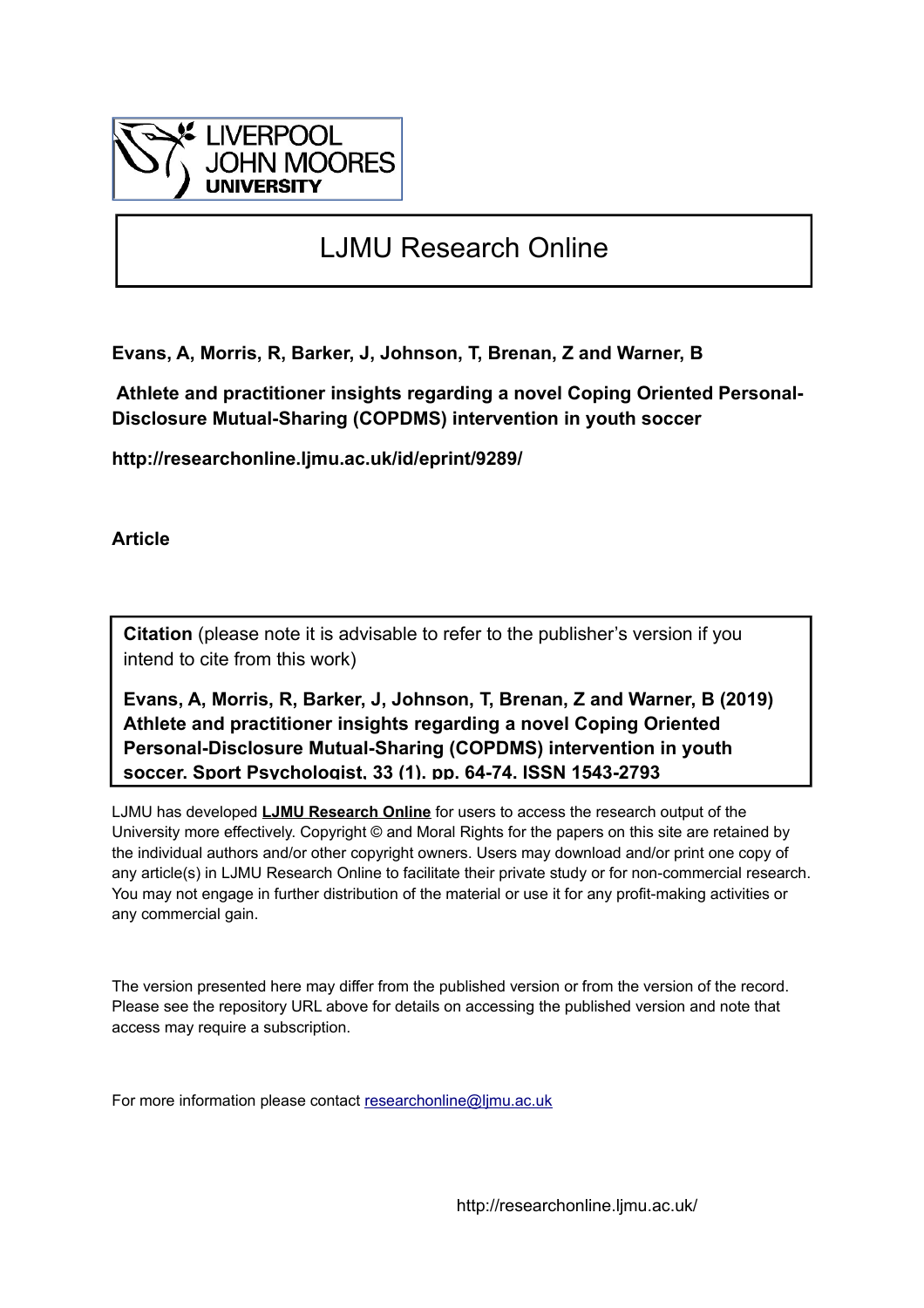

# LJMU Research Online

**Evans, A, Morris, R, Barker, J, Johnson, T, Brenan, Z and Warner, B**

 **Athlete and practitioner insights regarding a novel Coping Oriented Personal-Disclosure Mutual-Sharing (COPDMS) intervention in youth soccer**

**http://researchonline.ljmu.ac.uk/id/eprint/9289/**

**Article**

**Citation** (please note it is advisable to refer to the publisher's version if you intend to cite from this work)

**Evans, A, Morris, R, Barker, J, Johnson, T, Brenan, Z and Warner, B (2019) Athlete and practitioner insights regarding a novel Coping Oriented Personal-Disclosure Mutual-Sharing (COPDMS) intervention in youth soccer. Sport Psychologist, 33 (1). pp. 64-74. ISSN 1543-2793** 

LJMU has developed **[LJMU Research Online](http://researchonline.ljmu.ac.uk/)** for users to access the research output of the University more effectively. Copyright © and Moral Rights for the papers on this site are retained by the individual authors and/or other copyright owners. Users may download and/or print one copy of any article(s) in LJMU Research Online to facilitate their private study or for non-commercial research. You may not engage in further distribution of the material or use it for any profit-making activities or any commercial gain.

The version presented here may differ from the published version or from the version of the record. Please see the repository URL above for details on accessing the published version and note that access may require a subscription.

For more information please contact [researchonline@ljmu.ac.uk](mailto:researchonline@ljmu.ac.uk)

http://researchonline.ljmu.ac.uk/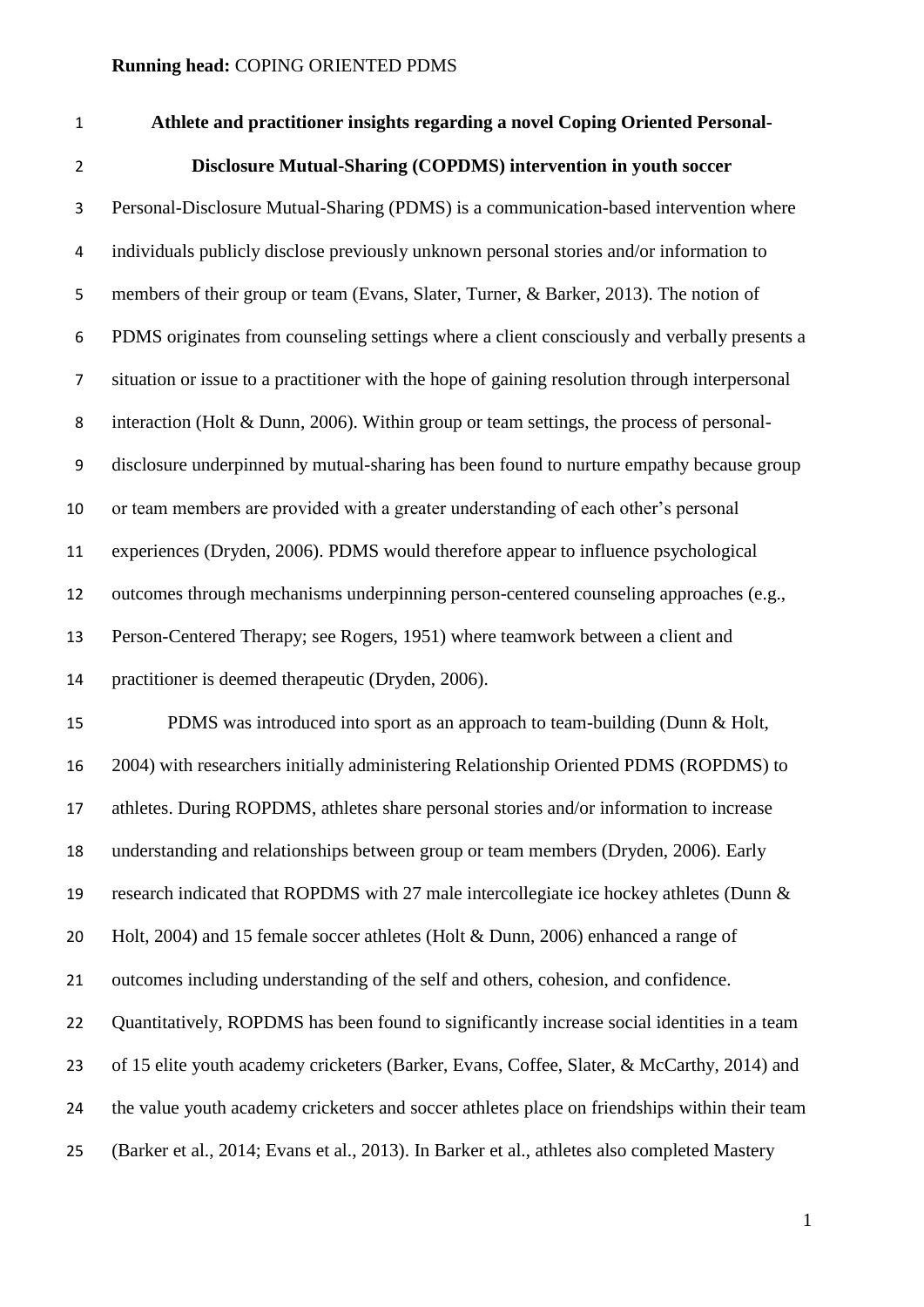| ۰. |     |  |
|----|-----|--|
|    | . . |  |

### **Athlete and practitioner insights regarding a novel Coping Oriented Personal-**

### **Disclosure Mutual-Sharing (COPDMS) intervention in youth soccer**

 Personal-Disclosure Mutual-Sharing (PDMS) is a communication-based intervention where individuals publicly disclose previously unknown personal stories and/or information to members of their group or team (Evans, Slater, Turner, & Barker, 2013). The notion of PDMS originates from counseling settings where a client consciously and verbally presents a situation or issue to a practitioner with the hope of gaining resolution through interpersonal interaction (Holt & Dunn, 2006). Within group or team settings, the process of personal- disclosure underpinned by mutual-sharing has been found to nurture empathy because group or team members are provided with a greater understanding of each other's personal experiences (Dryden, 2006). PDMS would therefore appear to influence psychological outcomes through mechanisms underpinning person-centered counseling approaches (e.g., Person-Centered Therapy; see Rogers, 1951) where teamwork between a client and practitioner is deemed therapeutic (Dryden, 2006).

15 PDMS was introduced into sport as an approach to team-building (Dunn & Holt, 2004) with researchers initially administering Relationship Oriented PDMS (ROPDMS) to athletes. During ROPDMS, athletes share personal stories and/or information to increase understanding and relationships between group or team members (Dryden, 2006). Early research indicated that ROPDMS with 27 male intercollegiate ice hockey athletes (Dunn & Holt, 2004) and 15 female soccer athletes (Holt & Dunn, 2006) enhanced a range of outcomes including understanding of the self and others, cohesion, and confidence. 22 Quantitatively, ROPDMS has been found to significantly increase social identities in a team 23 of 15 elite youth academy cricketers (Barker, Evans, Coffee, Slater, & McCarthy, 2014) and the value youth academy cricketers and soccer athletes place on friendships within their team (Barker et al., 2014; Evans et al., 2013). In Barker et al., athletes also completed Mastery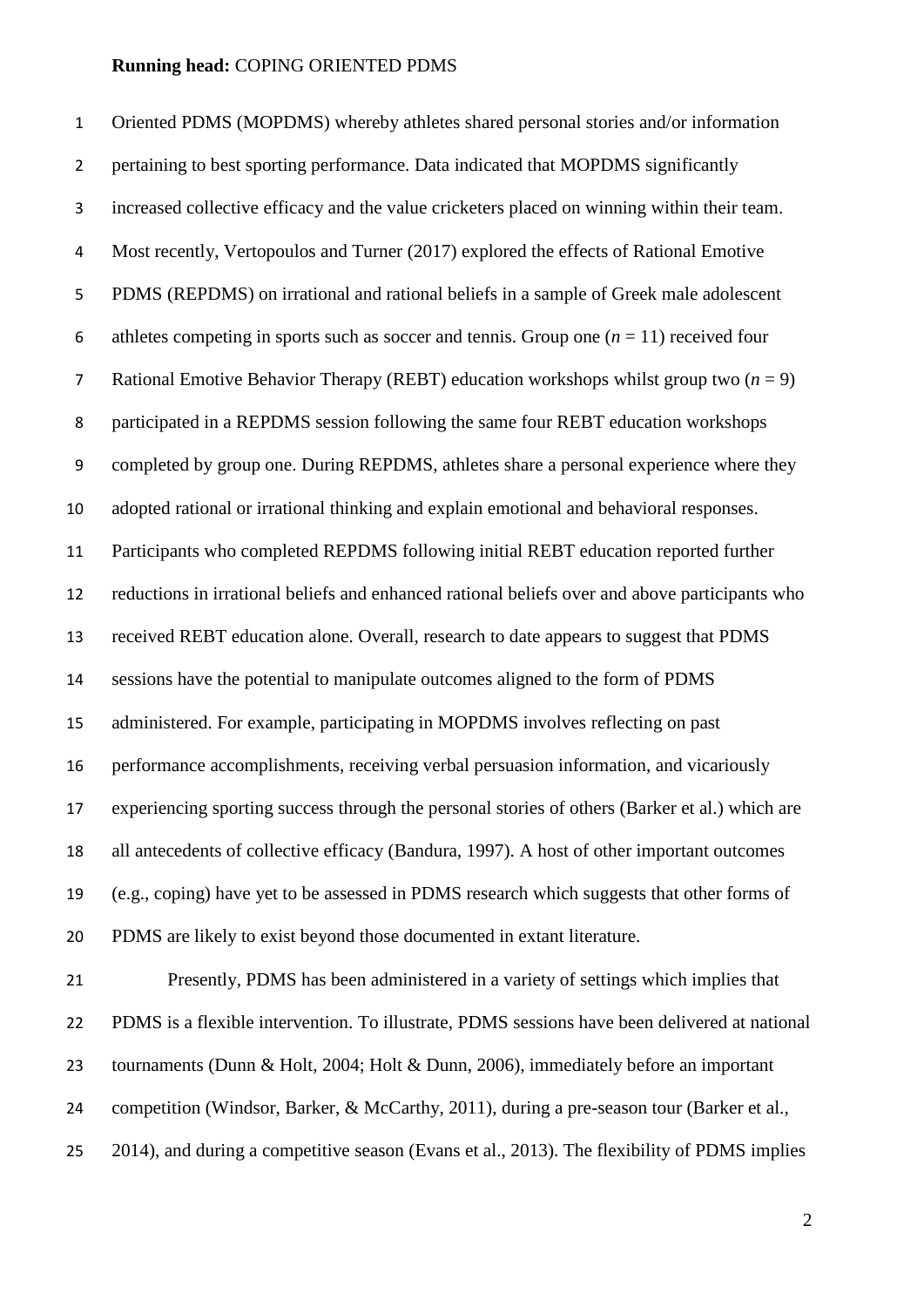Oriented PDMS (MOPDMS) whereby athletes shared personal stories and/or information 2 pertaining to best sporting performance. Data indicated that MOPDMS significantly increased collective efficacy and the value cricketers placed on winning within their team. Most recently, Vertopoulos and Turner (2017) explored the effects of Rational Emotive PDMS (REPDMS) on irrational and rational beliefs in a sample of Greek male adolescent 6 athletes competing in sports such as soccer and tennis. Group one  $(n = 11)$  received four 7 Rational Emotive Behavior Therapy (REBT) education workshops whilst group two  $(n = 9)$  participated in a REPDMS session following the same four REBT education workshops completed by group one. During REPDMS, athletes share a personal experience where they adopted rational or irrational thinking and explain emotional and behavioral responses. Participants who completed REPDMS following initial REBT education reported further reductions in irrational beliefs and enhanced rational beliefs over and above participants who received REBT education alone. Overall, research to date appears to suggest that PDMS sessions have the potential to manipulate outcomes aligned to the form of PDMS administered. For example, participating in MOPDMS involves reflecting on past performance accomplishments, receiving verbal persuasion information, and vicariously experiencing sporting success through the personal stories of others (Barker et al.) which are all antecedents of collective efficacy (Bandura, 1997). A host of other important outcomes (e.g., coping) have yet to be assessed in PDMS research which suggests that other forms of PDMS are likely to exist beyond those documented in extant literature. Presently, PDMS has been administered in a variety of settings which implies that PDMS is a flexible intervention. To illustrate, PDMS sessions have been delivered at national

tournaments (Dunn & Holt, 2004; Holt & Dunn, 2006), immediately before an important

- competition (Windsor, Barker, & McCarthy, 2011), during a pre-season tour (Barker et al.,
- 25 2014), and during a competitive season (Evans et al., 2013). The flexibility of PDMS implies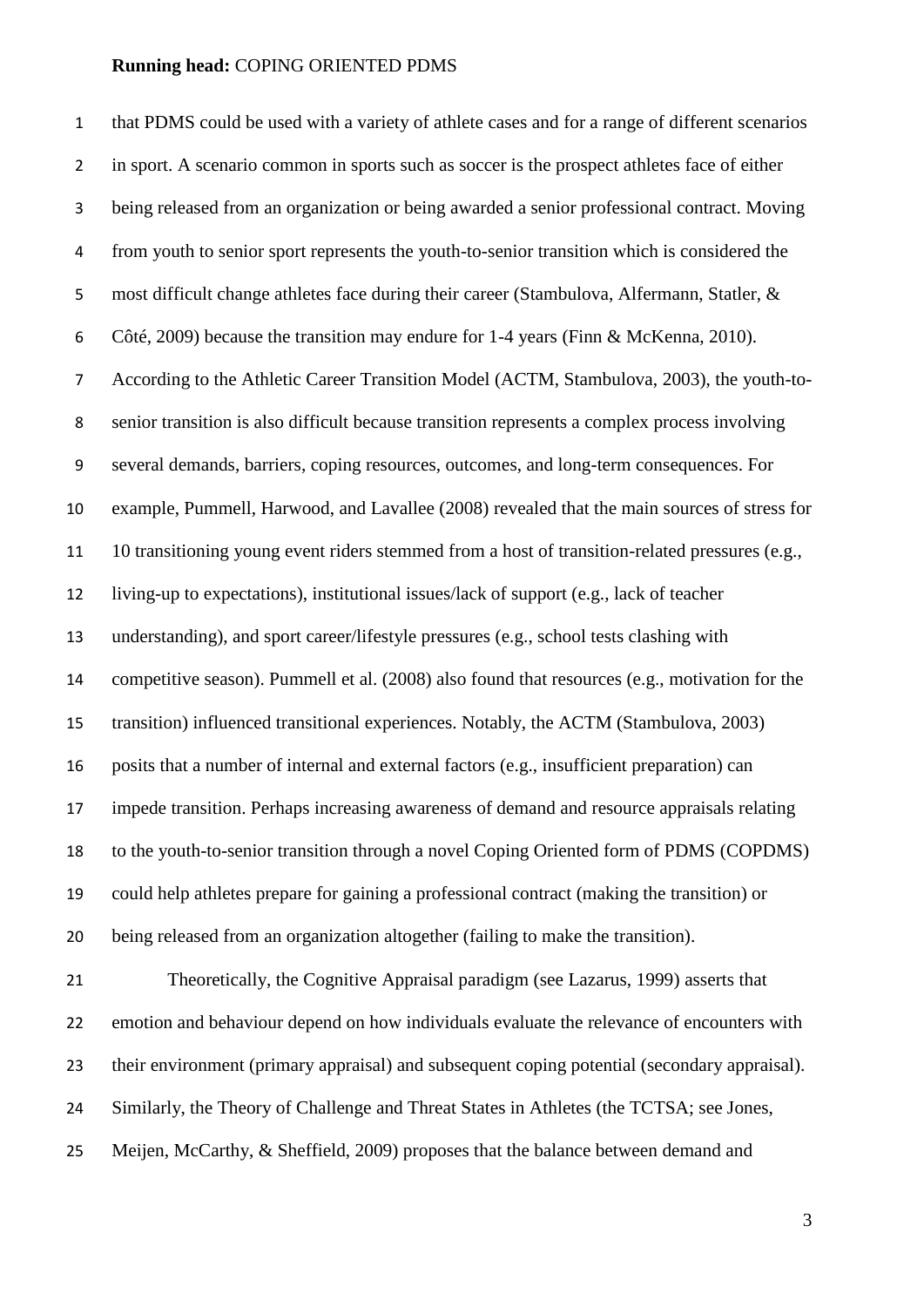that PDMS could be used with a variety of athlete cases and for a range of different scenarios in sport. A scenario common in sports such as soccer is the prospect athletes face of either being released from an organization or being awarded a senior professional contract. Moving from youth to senior sport represents the youth-to-senior transition which is considered the most difficult change athletes face during their career (Stambulova, Alfermann, Statler, & Côté, 2009) because the transition may endure for 1-4 years (Finn & McKenna, 2010). According to the Athletic Career Transition Model (ACTM, Stambulova, 2003), the youth-to- senior transition is also difficult because transition represents a complex process involving several demands, barriers, coping resources, outcomes, and long-term consequences. For example, Pummell, Harwood, and Lavallee (2008) revealed that the main sources of stress for 10 transitioning young event riders stemmed from a host of transition-related pressures (e.g., living-up to expectations), institutional issues/lack of support (e.g., lack of teacher understanding), and sport career/lifestyle pressures (e.g., school tests clashing with competitive season). Pummell et al. (2008) also found that resources (e.g., motivation for the transition) influenced transitional experiences. Notably, the ACTM (Stambulova, 2003) posits that a number of internal and external factors (e.g., insufficient preparation) can impede transition. Perhaps increasing awareness of demand and resource appraisals relating to the youth-to-senior transition through a novel Coping Oriented form of PDMS (COPDMS) could help athletes prepare for gaining a professional contract (making the transition) or being released from an organization altogether (failing to make the transition). Theoretically, the Cognitive Appraisal paradigm (see Lazarus, 1999) asserts that emotion and behaviour depend on how individuals evaluate the relevance of encounters with their environment (primary appraisal) and subsequent coping potential (secondary appraisal). Similarly, the Theory of Challenge and Threat States in Athletes (the TCTSA; see Jones,

Meijen, McCarthy, & Sheffield, 2009) proposes that the balance between demand and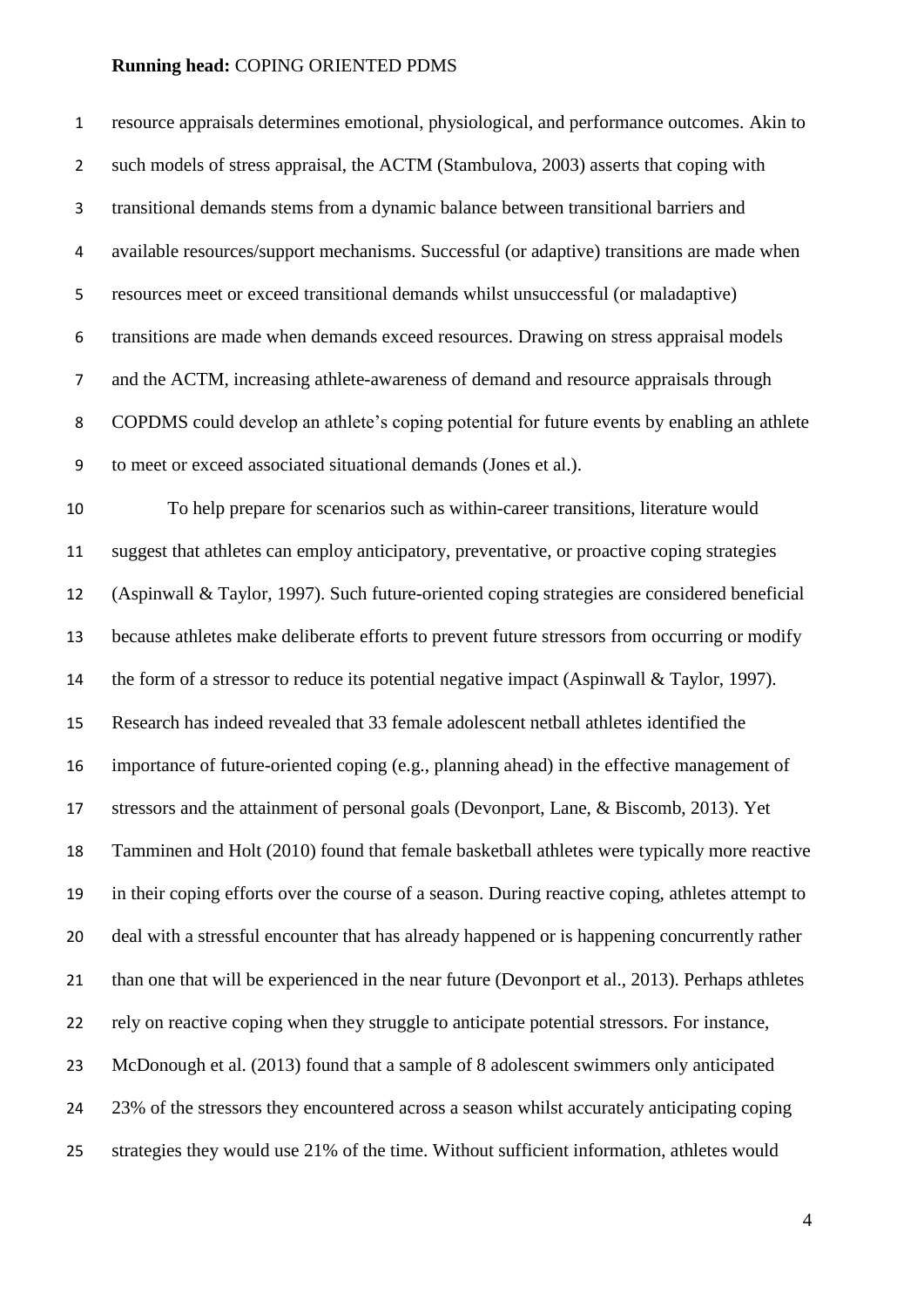resource appraisals determines emotional, physiological, and performance outcomes. Akin to such models of stress appraisal, the ACTM (Stambulova, 2003) asserts that coping with transitional demands stems from a dynamic balance between transitional barriers and available resources/support mechanisms. Successful (or adaptive) transitions are made when resources meet or exceed transitional demands whilst unsuccessful (or maladaptive) transitions are made when demands exceed resources. Drawing on stress appraisal models and the ACTM, increasing athlete-awareness of demand and resource appraisals through COPDMS could develop an athlete's coping potential for future events by enabling an athlete to meet or exceed associated situational demands (Jones et al.). To help prepare for scenarios such as within-career transitions, literature would suggest that athletes can employ anticipatory, preventative, or proactive coping strategies (Aspinwall & Taylor, 1997). Such future-oriented coping strategies are considered beneficial because athletes make deliberate efforts to prevent future stressors from occurring or modify 14 the form of a stressor to reduce its potential negative impact (Aspinwall & Taylor, 1997). Research has indeed revealed that 33 female adolescent netball athletes identified the importance of future-oriented coping (e.g., planning ahead) in the effective management of stressors and the attainment of personal goals (Devonport, Lane, & Biscomb, 2013). Yet Tamminen and Holt (2010) found that female basketball athletes were typically more reactive in their coping efforts over the course of a season. During reactive coping, athletes attempt to deal with a stressful encounter that has already happened or is happening concurrently rather than one that will be experienced in the near future (Devonport et al., 2013). Perhaps athletes rely on reactive coping when they struggle to anticipate potential stressors. For instance, McDonough et al. (2013) found that a sample of 8 adolescent swimmers only anticipated 24 23% of the stressors they encountered across a season whilst accurately anticipating coping strategies they would use 21% of the time. Without sufficient information, athletes would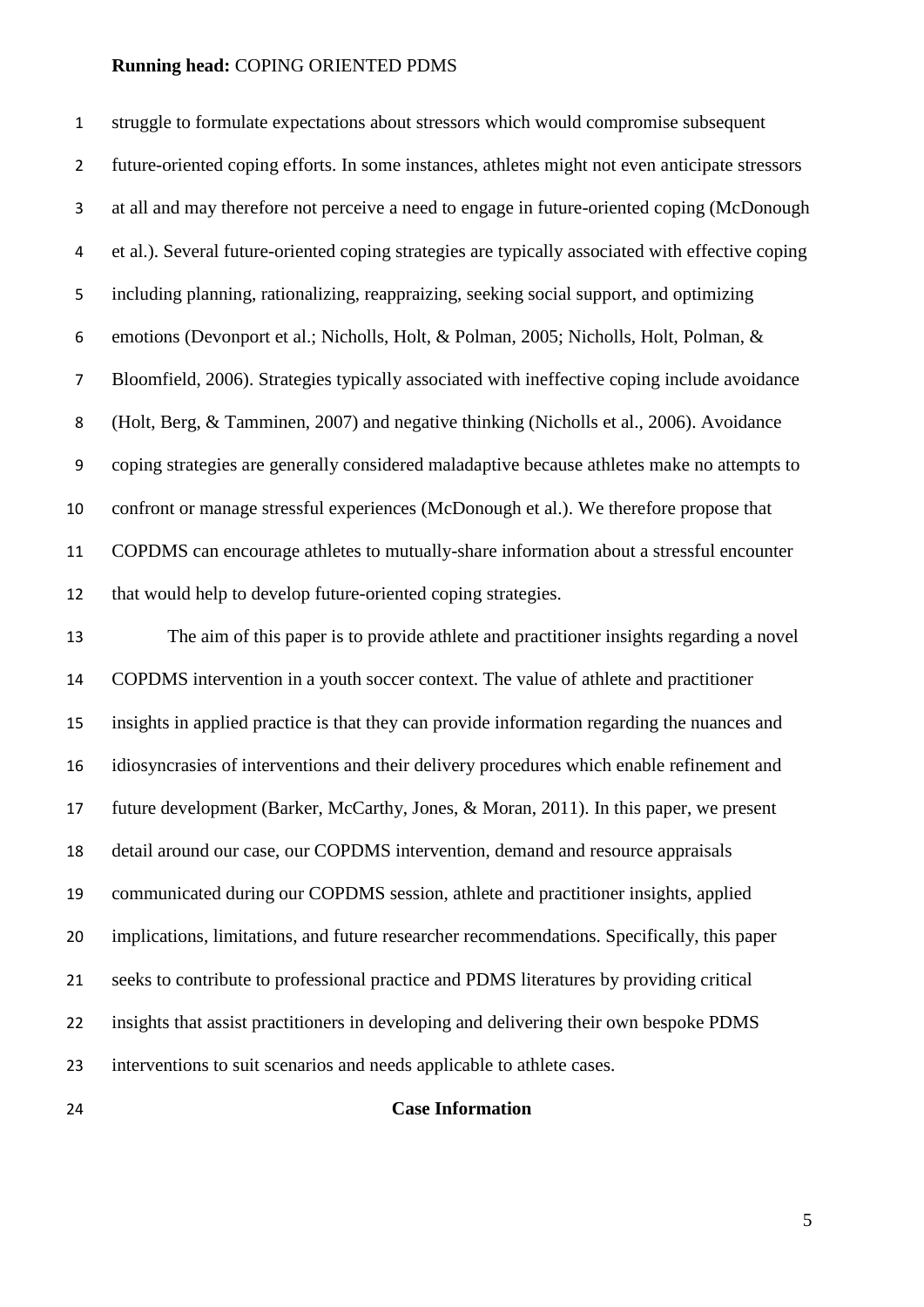struggle to formulate expectations about stressors which would compromise subsequent future-oriented coping efforts. In some instances, athletes might not even anticipate stressors at all and may therefore not perceive a need to engage in future-oriented coping (McDonough et al.). Several future-oriented coping strategies are typically associated with effective coping including planning, rationalizing, reappraizing, seeking social support, and optimizing emotions (Devonport et al.; Nicholls, Holt, & Polman, 2005; Nicholls, Holt, Polman, & Bloomfield, 2006). Strategies typically associated with ineffective coping include avoidance (Holt, Berg, & Tamminen, 2007) and negative thinking (Nicholls et al., 2006). Avoidance coping strategies are generally considered maladaptive because athletes make no attempts to confront or manage stressful experiences (McDonough et al.). We therefore propose that COPDMS can encourage athletes to mutually-share information about a stressful encounter that would help to develop future-oriented coping strategies.

 The aim of this paper is to provide athlete and practitioner insights regarding a novel COPDMS intervention in a youth soccer context. The value of athlete and practitioner insights in applied practice is that they can provide information regarding the nuances and idiosyncrasies of interventions and their delivery procedures which enable refinement and future development (Barker, McCarthy, Jones, & Moran, 2011). In this paper, we present detail around our case, our COPDMS intervention, demand and resource appraisals communicated during our COPDMS session, athlete and practitioner insights, applied implications, limitations, and future researcher recommendations. Specifically, this paper seeks to contribute to professional practice and PDMS literatures by providing critical insights that assist practitioners in developing and delivering their own bespoke PDMS interventions to suit scenarios and needs applicable to athlete cases.

### **Case Information**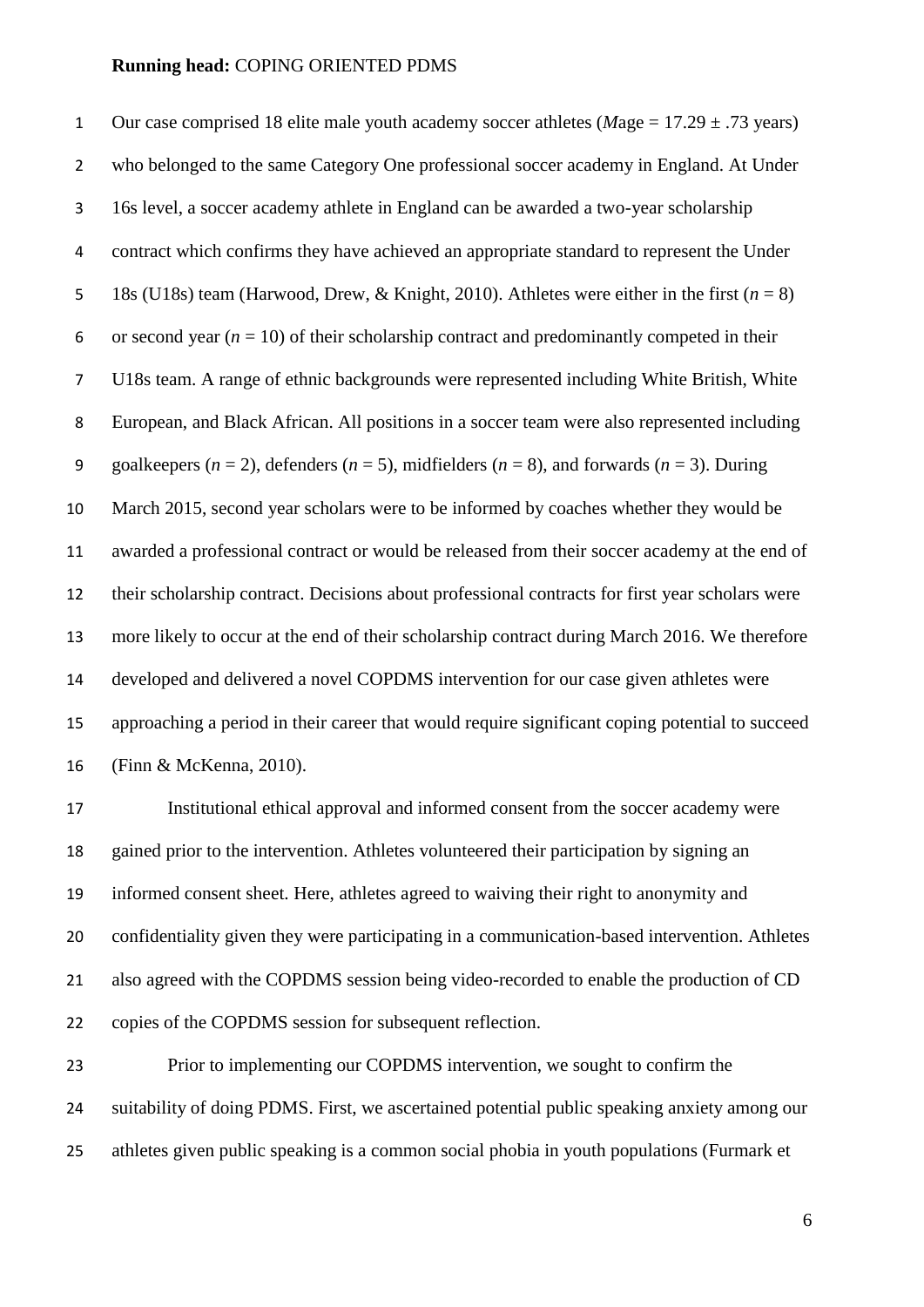Our case comprised 18 elite male youth academy soccer athletes (*M*age = 17.29 ± .73 years) who belonged to the same Category One professional soccer academy in England. At Under 16s level, a soccer academy athlete in England can be awarded a two-year scholarship contract which confirms they have achieved an appropriate standard to represent the Under 18s (U18s) team (Harwood, Drew, & Knight, 2010). Athletes were either in the first (*n* = 8) 6 or second year  $(n = 10)$  of their scholarship contract and predominantly competed in their U18s team. A range of ethnic backgrounds were represented including White British, White European, and Black African. All positions in a soccer team were also represented including 9 goalkeepers  $(n = 2)$ , defenders  $(n = 5)$ , midfielders  $(n = 8)$ , and forwards  $(n = 3)$ . During March 2015, second year scholars were to be informed by coaches whether they would be awarded a professional contract or would be released from their soccer academy at the end of their scholarship contract. Decisions about professional contracts for first year scholars were more likely to occur at the end of their scholarship contract during March 2016. We therefore developed and delivered a novel COPDMS intervention for our case given athletes were approaching a period in their career that would require significant coping potential to succeed (Finn & McKenna, 2010).

 Institutional ethical approval and informed consent from the soccer academy were gained prior to the intervention. Athletes volunteered their participation by signing an informed consent sheet. Here, athletes agreed to waiving their right to anonymity and confidentiality given they were participating in a communication-based intervention. Athletes also agreed with the COPDMS session being video-recorded to enable the production of CD copies of the COPDMS session for subsequent reflection.

 Prior to implementing our COPDMS intervention, we sought to confirm the suitability of doing PDMS. First, we ascertained potential public speaking anxiety among our athletes given public speaking is a common social phobia in youth populations (Furmark et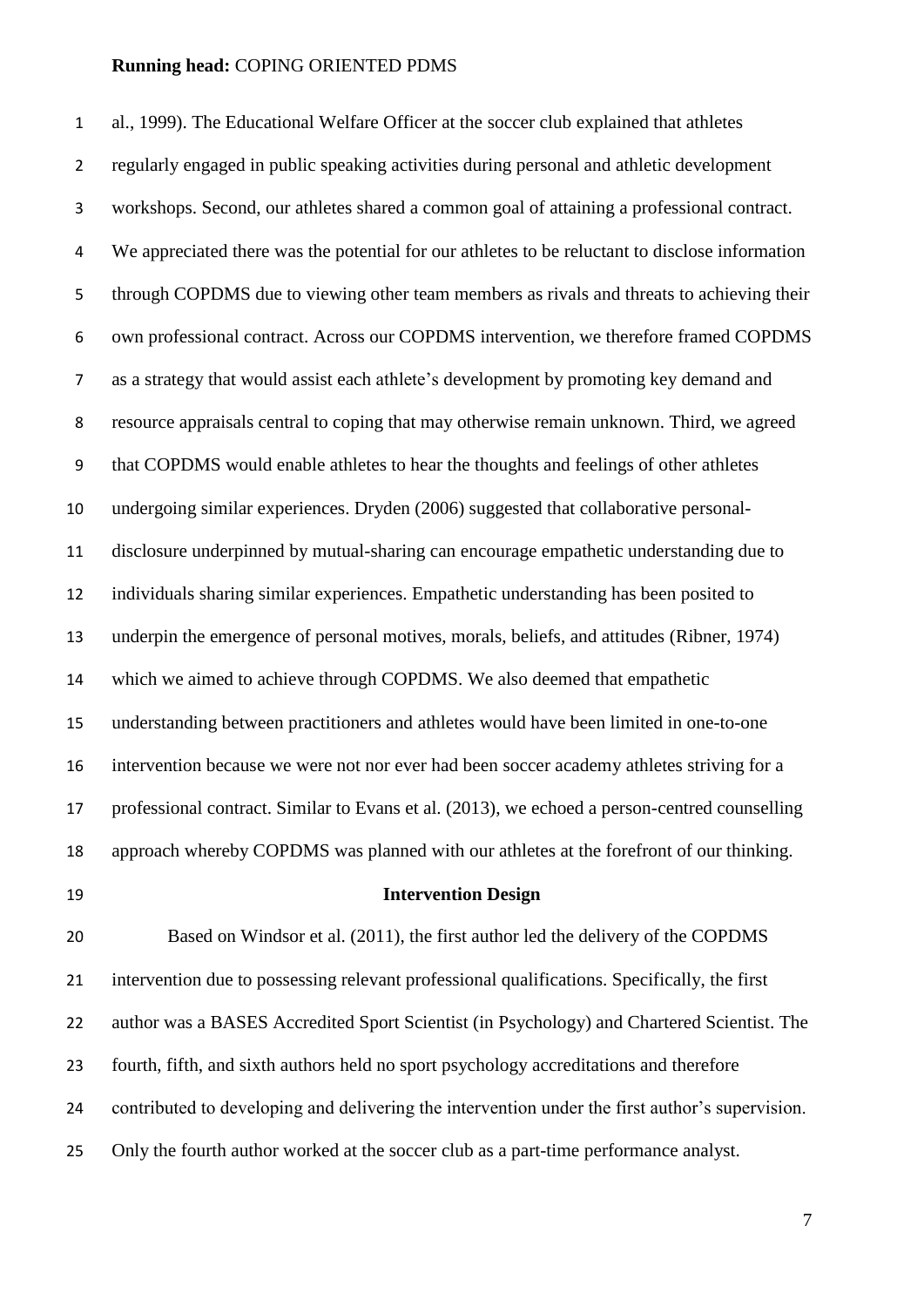al., 1999). The Educational Welfare Officer at the soccer club explained that athletes regularly engaged in public speaking activities during personal and athletic development workshops. Second, our athletes shared a common goal of attaining a professional contract. We appreciated there was the potential for our athletes to be reluctant to disclose information through COPDMS due to viewing other team members as rivals and threats to achieving their own professional contract. Across our COPDMS intervention, we therefore framed COPDMS as a strategy that would assist each athlete's development by promoting key demand and resource appraisals central to coping that may otherwise remain unknown. Third, we agreed that COPDMS would enable athletes to hear the thoughts and feelings of other athletes undergoing similar experiences. Dryden (2006) suggested that collaborative personal- disclosure underpinned by mutual-sharing can encourage empathetic understanding due to individuals sharing similar experiences. Empathetic understanding has been posited to underpin the emergence of personal motives, morals, beliefs, and attitudes (Ribner, 1974) which we aimed to achieve through COPDMS. We also deemed that empathetic understanding between practitioners and athletes would have been limited in one-to-one intervention because we were not nor ever had been soccer academy athletes striving for a professional contract. Similar to Evans et al. (2013), we echoed a person-centred counselling approach whereby COPDMS was planned with our athletes at the forefront of our thinking.

#### **Intervention Design**

 Based on Windsor et al. (2011), the first author led the delivery of the COPDMS intervention due to possessing relevant professional qualifications. Specifically, the first author was a BASES Accredited Sport Scientist (in Psychology) and Chartered Scientist. The fourth, fifth, and sixth authors held no sport psychology accreditations and therefore contributed to developing and delivering the intervention under the first author's supervision. Only the fourth author worked at the soccer club as a part-time performance analyst.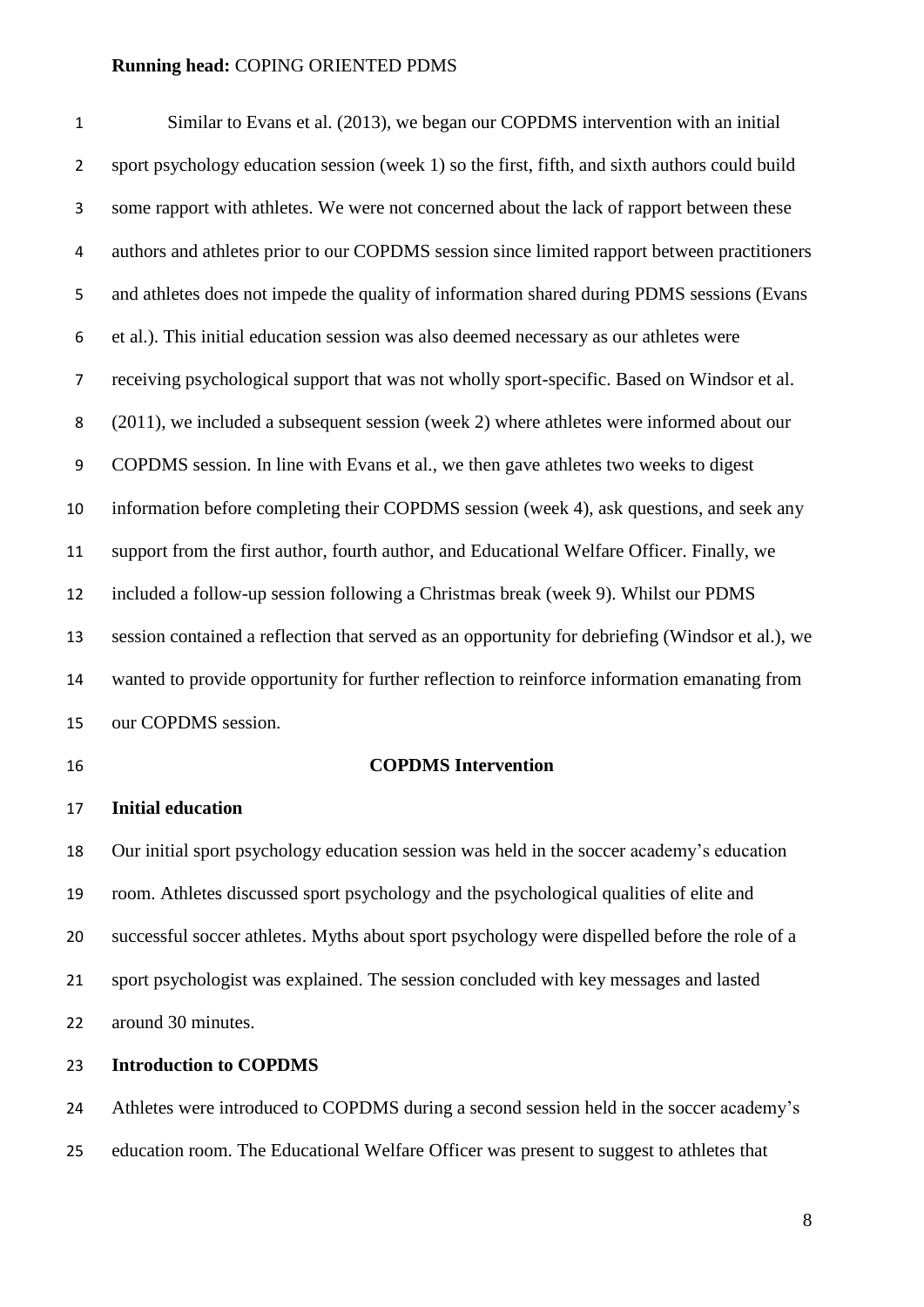Similar to Evans et al. (2013), we began our COPDMS intervention with an initial sport psychology education session (week 1) so the first, fifth, and sixth authors could build some rapport with athletes. We were not concerned about the lack of rapport between these authors and athletes prior to our COPDMS session since limited rapport between practitioners and athletes does not impede the quality of information shared during PDMS sessions (Evans et al.). This initial education session was also deemed necessary as our athletes were receiving psychological support that was not wholly sport-specific. Based on Windsor et al. (2011), we included a subsequent session (week 2) where athletes were informed about our COPDMS session. In line with Evans et al., we then gave athletes two weeks to digest information before completing their COPDMS session (week 4), ask questions, and seek any support from the first author, fourth author, and Educational Welfare Officer. Finally, we included a follow-up session following a Christmas break (week 9). Whilst our PDMS session contained a reflection that served as an opportunity for debriefing (Windsor et al.), we wanted to provide opportunity for further reflection to reinforce information emanating from our COPDMS session.

### **COPDMS Intervention**

### **Initial education**

 Our initial sport psychology education session was held in the soccer academy's education room. Athletes discussed sport psychology and the psychological qualities of elite and successful soccer athletes. Myths about sport psychology were dispelled before the role of a sport psychologist was explained. The session concluded with key messages and lasted around 30 minutes.

### **Introduction to COPDMS**

 Athletes were introduced to COPDMS during a second session held in the soccer academy's education room. The Educational Welfare Officer was present to suggest to athletes that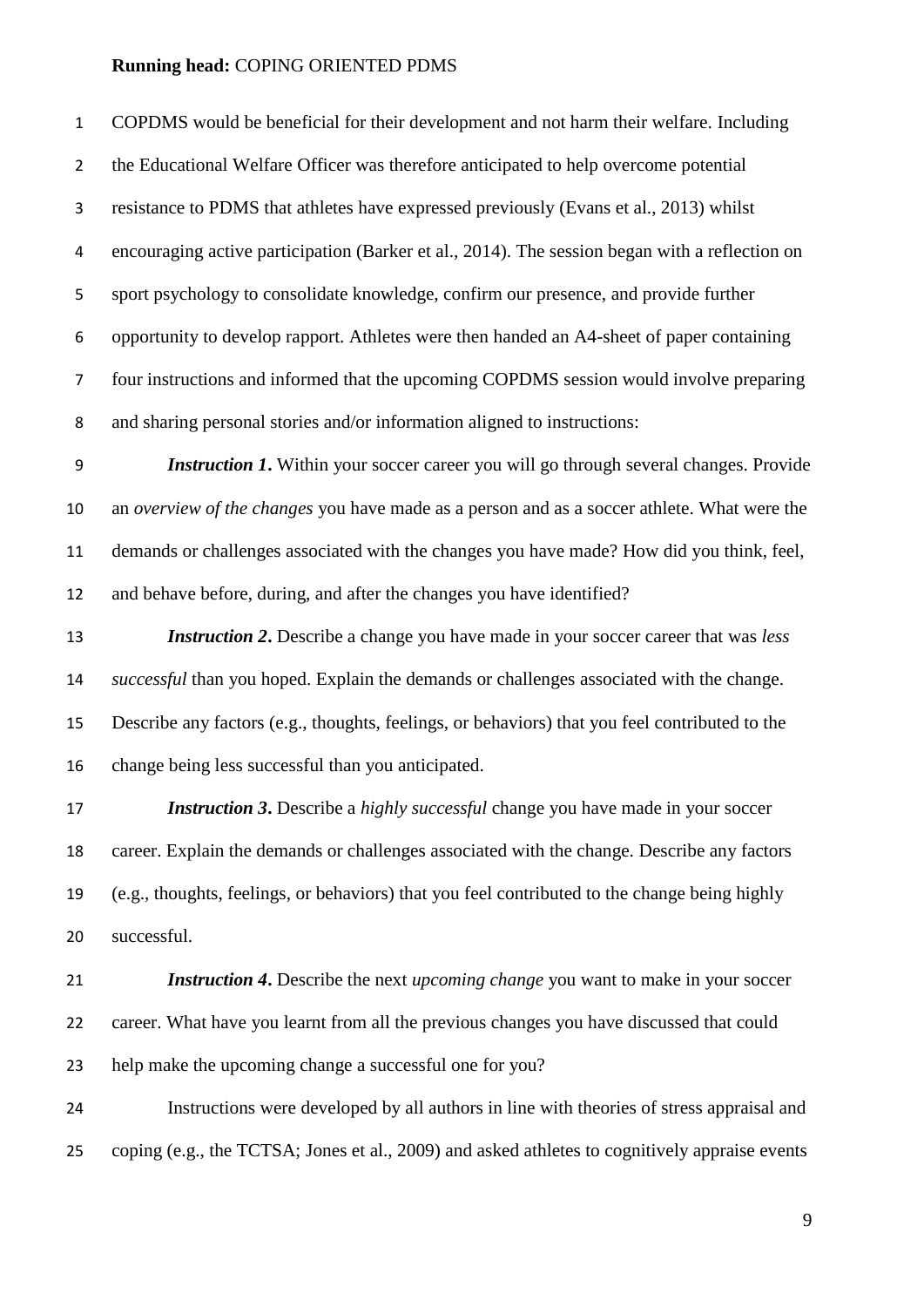COPDMS would be beneficial for their development and not harm their welfare. Including the Educational Welfare Officer was therefore anticipated to help overcome potential resistance to PDMS that athletes have expressed previously (Evans et al., 2013) whilst encouraging active participation (Barker et al., 2014). The session began with a reflection on sport psychology to consolidate knowledge, confirm our presence, and provide further opportunity to develop rapport. Athletes were then handed an A4-sheet of paper containing four instructions and informed that the upcoming COPDMS session would involve preparing and sharing personal stories and/or information aligned to instructions:

 *Instruction 1***.** Within your soccer career you will go through several changes. Provide an *overview of the changes* you have made as a person and as a soccer athlete. What were the demands or challenges associated with the changes you have made? How did you think, feel, and behave before, during, and after the changes you have identified?

 *Instruction 2***.** Describe a change you have made in your soccer career that was *less successful* than you hoped. Explain the demands or challenges associated with the change. Describe any factors (e.g., thoughts, feelings, or behaviors) that you feel contributed to the change being less successful than you anticipated.

 *Instruction 3***.** Describe a *highly successful* change you have made in your soccer career. Explain the demands or challenges associated with the change. Describe any factors (e.g., thoughts, feelings, or behaviors) that you feel contributed to the change being highly successful.

 *Instruction 4***.** Describe the next *upcoming change* you want to make in your soccer career. What have you learnt from all the previous changes you have discussed that could help make the upcoming change a successful one for you?

 Instructions were developed by all authors in line with theories of stress appraisal and coping (e.g., the TCTSA; Jones et al., 2009) and asked athletes to cognitively appraise events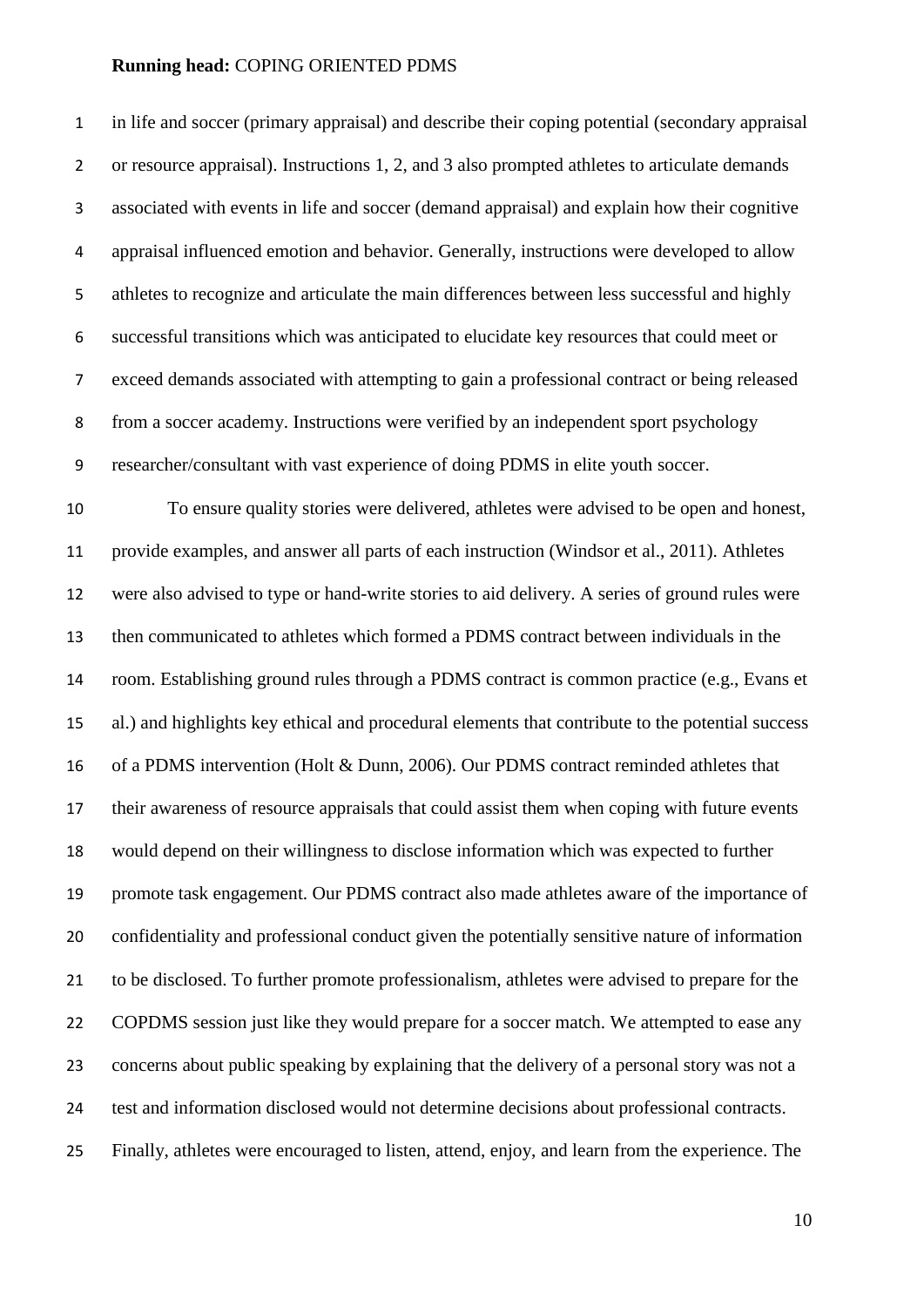in life and soccer (primary appraisal) and describe their coping potential (secondary appraisal or resource appraisal). Instructions 1, 2, and 3 also prompted athletes to articulate demands associated with events in life and soccer (demand appraisal) and explain how their cognitive appraisal influenced emotion and behavior. Generally, instructions were developed to allow athletes to recognize and articulate the main differences between less successful and highly successful transitions which was anticipated to elucidate key resources that could meet or exceed demands associated with attempting to gain a professional contract or being released from a soccer academy. Instructions were verified by an independent sport psychology researcher/consultant with vast experience of doing PDMS in elite youth soccer. To ensure quality stories were delivered, athletes were advised to be open and honest, provide examples, and answer all parts of each instruction (Windsor et al., 2011). Athletes were also advised to type or hand-write stories to aid delivery. A series of ground rules were then communicated to athletes which formed a PDMS contract between individuals in the room. Establishing ground rules through a PDMS contract is common practice (e.g., Evans et al.) and highlights key ethical and procedural elements that contribute to the potential success of a PDMS intervention (Holt & Dunn, 2006). Our PDMS contract reminded athletes that their awareness of resource appraisals that could assist them when coping with future events would depend on their willingness to disclose information which was expected to further promote task engagement. Our PDMS contract also made athletes aware of the importance of confidentiality and professional conduct given the potentially sensitive nature of information to be disclosed. To further promote professionalism, athletes were advised to prepare for the 22 COPDMS session just like they would prepare for a soccer match. We attempted to ease any concerns about public speaking by explaining that the delivery of a personal story was not a test and information disclosed would not determine decisions about professional contracts. Finally, athletes were encouraged to listen, attend, enjoy, and learn from the experience. The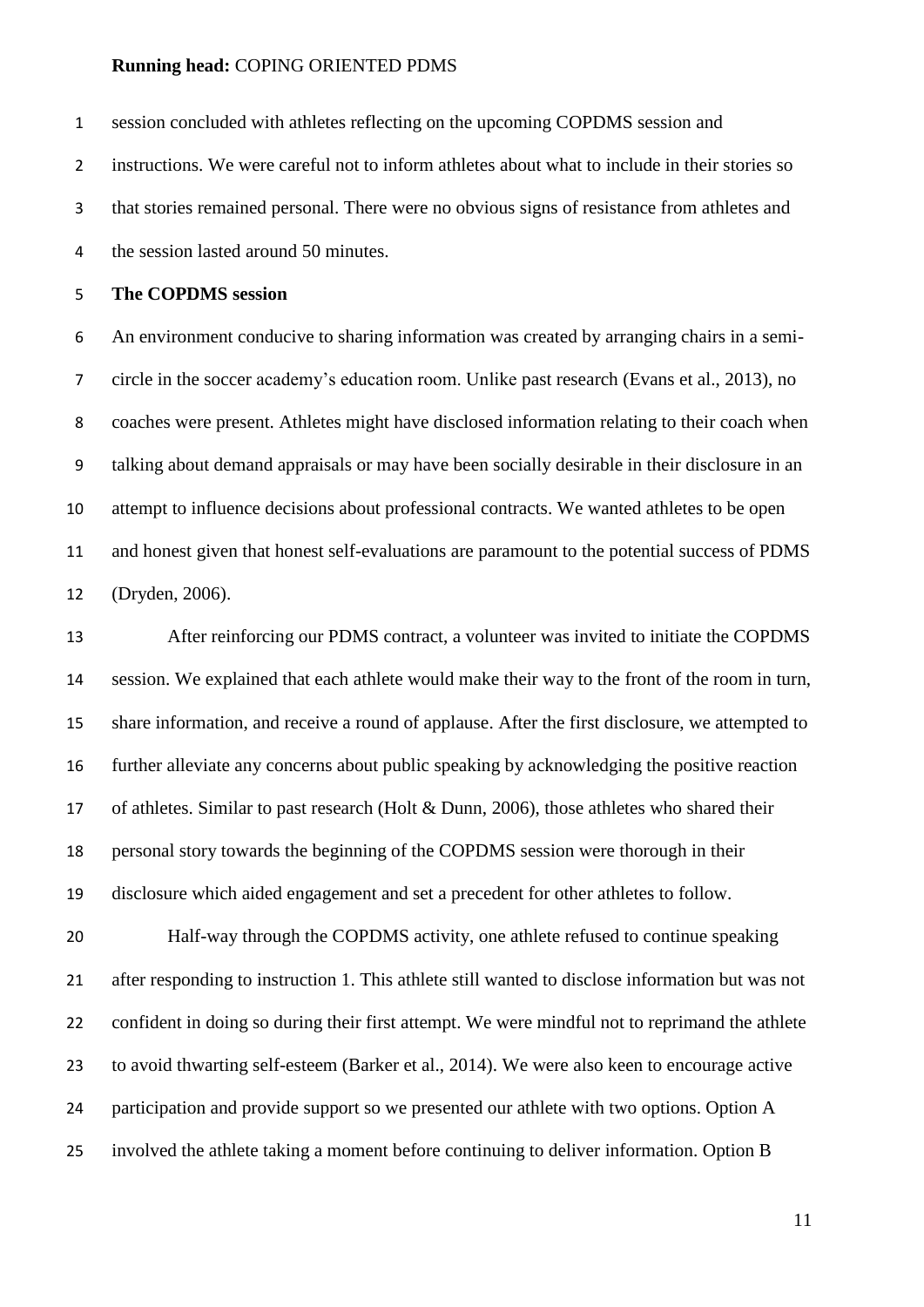session concluded with athletes reflecting on the upcoming COPDMS session and instructions. We were careful not to inform athletes about what to include in their stories so that stories remained personal. There were no obvious signs of resistance from athletes and the session lasted around 50 minutes.

### **The COPDMS session**

 An environment conducive to sharing information was created by arranging chairs in a semi- circle in the soccer academy's education room. Unlike past research (Evans et al., 2013), no coaches were present. Athletes might have disclosed information relating to their coach when talking about demand appraisals or may have been socially desirable in their disclosure in an attempt to influence decisions about professional contracts. We wanted athletes to be open and honest given that honest self-evaluations are paramount to the potential success of PDMS (Dryden, 2006).

 After reinforcing our PDMS contract, a volunteer was invited to initiate the COPDMS session. We explained that each athlete would make their way to the front of the room in turn, share information, and receive a round of applause. After the first disclosure, we attempted to further alleviate any concerns about public speaking by acknowledging the positive reaction of athletes. Similar to past research (Holt & Dunn, 2006), those athletes who shared their personal story towards the beginning of the COPDMS session were thorough in their disclosure which aided engagement and set a precedent for other athletes to follow.

 Half-way through the COPDMS activity, one athlete refused to continue speaking after responding to instruction 1. This athlete still wanted to disclose information but was not confident in doing so during their first attempt. We were mindful not to reprimand the athlete to avoid thwarting self-esteem (Barker et al., 2014). We were also keen to encourage active participation and provide support so we presented our athlete with two options. Option A involved the athlete taking a moment before continuing to deliver information. Option B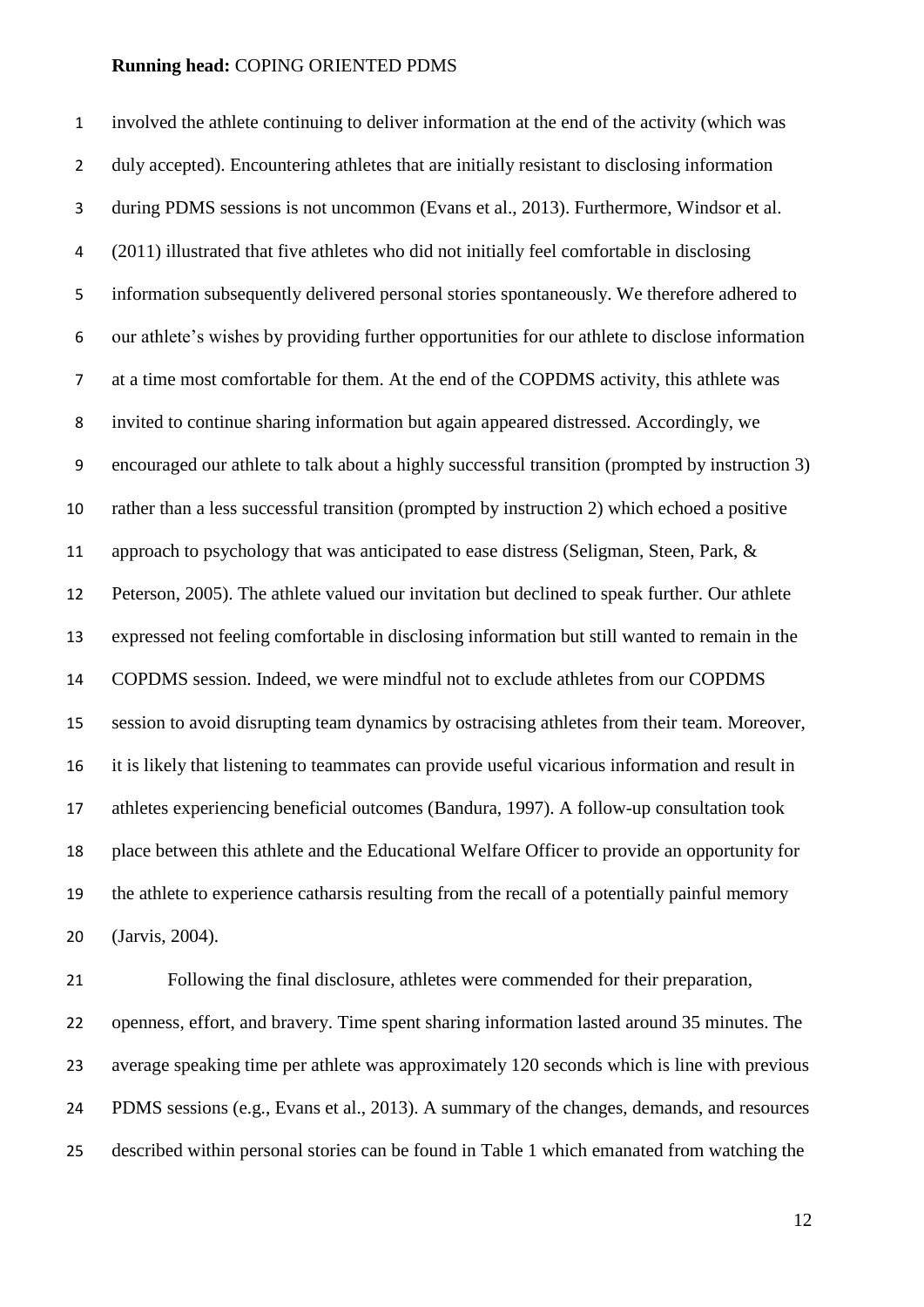involved the athlete continuing to deliver information at the end of the activity (which was duly accepted). Encountering athletes that are initially resistant to disclosing information during PDMS sessions is not uncommon (Evans et al., 2013). Furthermore, Windsor et al. (2011) illustrated that five athletes who did not initially feel comfortable in disclosing information subsequently delivered personal stories spontaneously. We therefore adhered to our athlete's wishes by providing further opportunities for our athlete to disclose information at a time most comfortable for them. At the end of the COPDMS activity, this athlete was invited to continue sharing information but again appeared distressed. Accordingly, we encouraged our athlete to talk about a highly successful transition (prompted by instruction 3) rather than a less successful transition (prompted by instruction 2) which echoed a positive approach to psychology that was anticipated to ease distress (Seligman, Steen, Park, & Peterson, 2005). The athlete valued our invitation but declined to speak further. Our athlete expressed not feeling comfortable in disclosing information but still wanted to remain in the COPDMS session. Indeed, we were mindful not to exclude athletes from our COPDMS session to avoid disrupting team dynamics by ostracising athletes from their team. Moreover, it is likely that listening to teammates can provide useful vicarious information and result in athletes experiencing beneficial outcomes (Bandura, 1997). A follow-up consultation took place between this athlete and the Educational Welfare Officer to provide an opportunity for the athlete to experience catharsis resulting from the recall of a potentially painful memory (Jarvis, 2004).

 Following the final disclosure, athletes were commended for their preparation, openness, effort, and bravery. Time spent sharing information lasted around 35 minutes. The average speaking time per athlete was approximately 120 seconds which is line with previous PDMS sessions (e.g., Evans et al., 2013). A summary of the changes, demands, and resources described within personal stories can be found in Table 1 which emanated from watching the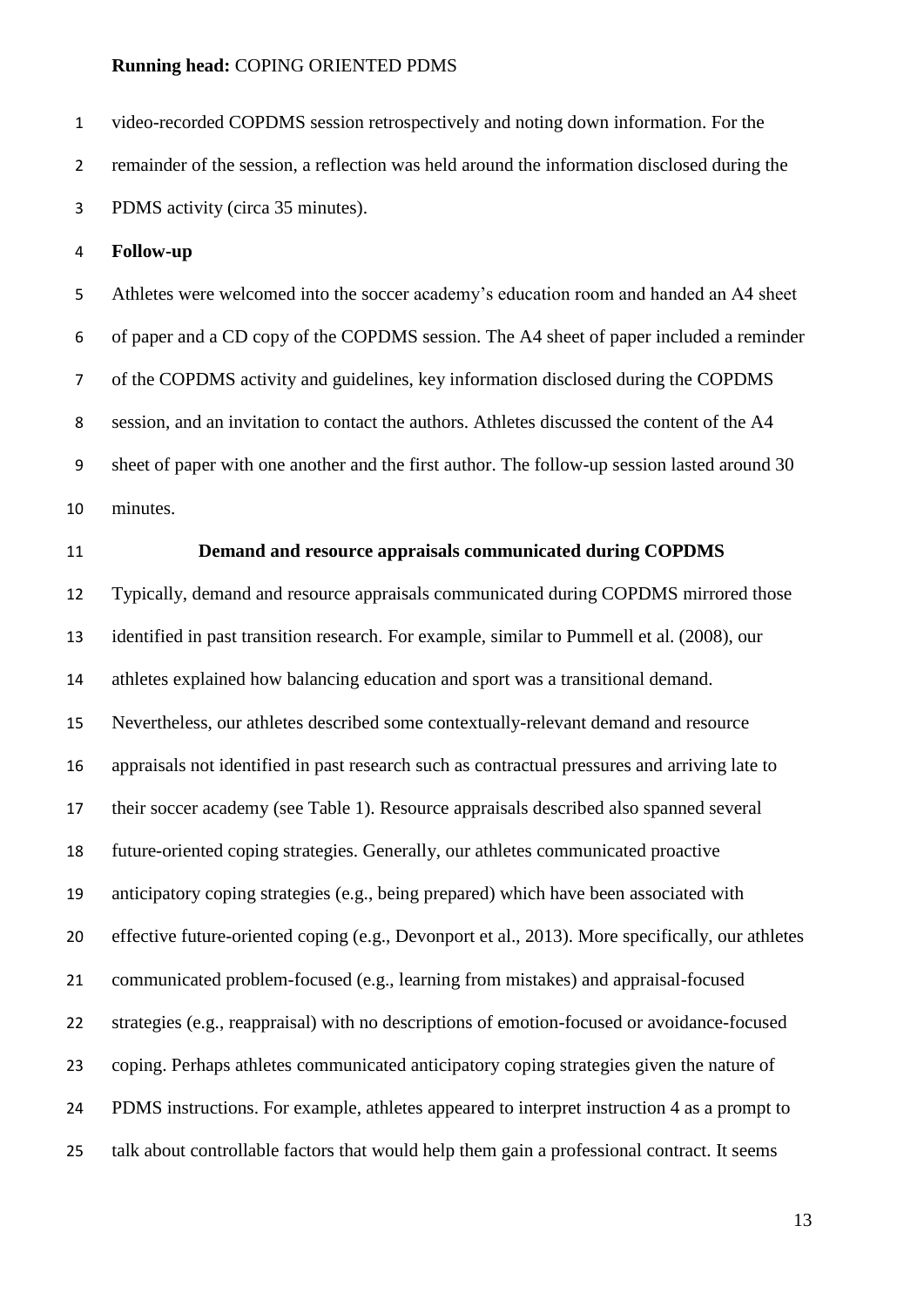video-recorded COPDMS session retrospectively and noting down information. For the remainder of the session, a reflection was held around the information disclosed during the PDMS activity (circa 35 minutes).

**Follow-up**

 Athletes were welcomed into the soccer academy's education room and handed an A4 sheet of paper and a CD copy of the COPDMS session. The A4 sheet of paper included a reminder of the COPDMS activity and guidelines, key information disclosed during the COPDMS session, and an invitation to contact the authors. Athletes discussed the content of the A4 sheet of paper with one another and the first author. The follow-up session lasted around 30 minutes.

### **Demand and resource appraisals communicated during COPDMS**

 Typically, demand and resource appraisals communicated during COPDMS mirrored those identified in past transition research. For example, similar to Pummell et al. (2008), our athletes explained how balancing education and sport was a transitional demand. Nevertheless, our athletes described some contextually-relevant demand and resource appraisals not identified in past research such as contractual pressures and arriving late to their soccer academy (see Table 1). Resource appraisals described also spanned several future-oriented coping strategies. Generally, our athletes communicated proactive anticipatory coping strategies (e.g., being prepared) which have been associated with effective future-oriented coping (e.g., Devonport et al., 2013). More specifically, our athletes communicated problem-focused (e.g., learning from mistakes) and appraisal-focused strategies (e.g., reappraisal) with no descriptions of emotion-focused or avoidance-focused coping. Perhaps athletes communicated anticipatory coping strategies given the nature of PDMS instructions. For example, athletes appeared to interpret instruction 4 as a prompt to talk about controllable factors that would help them gain a professional contract. It seems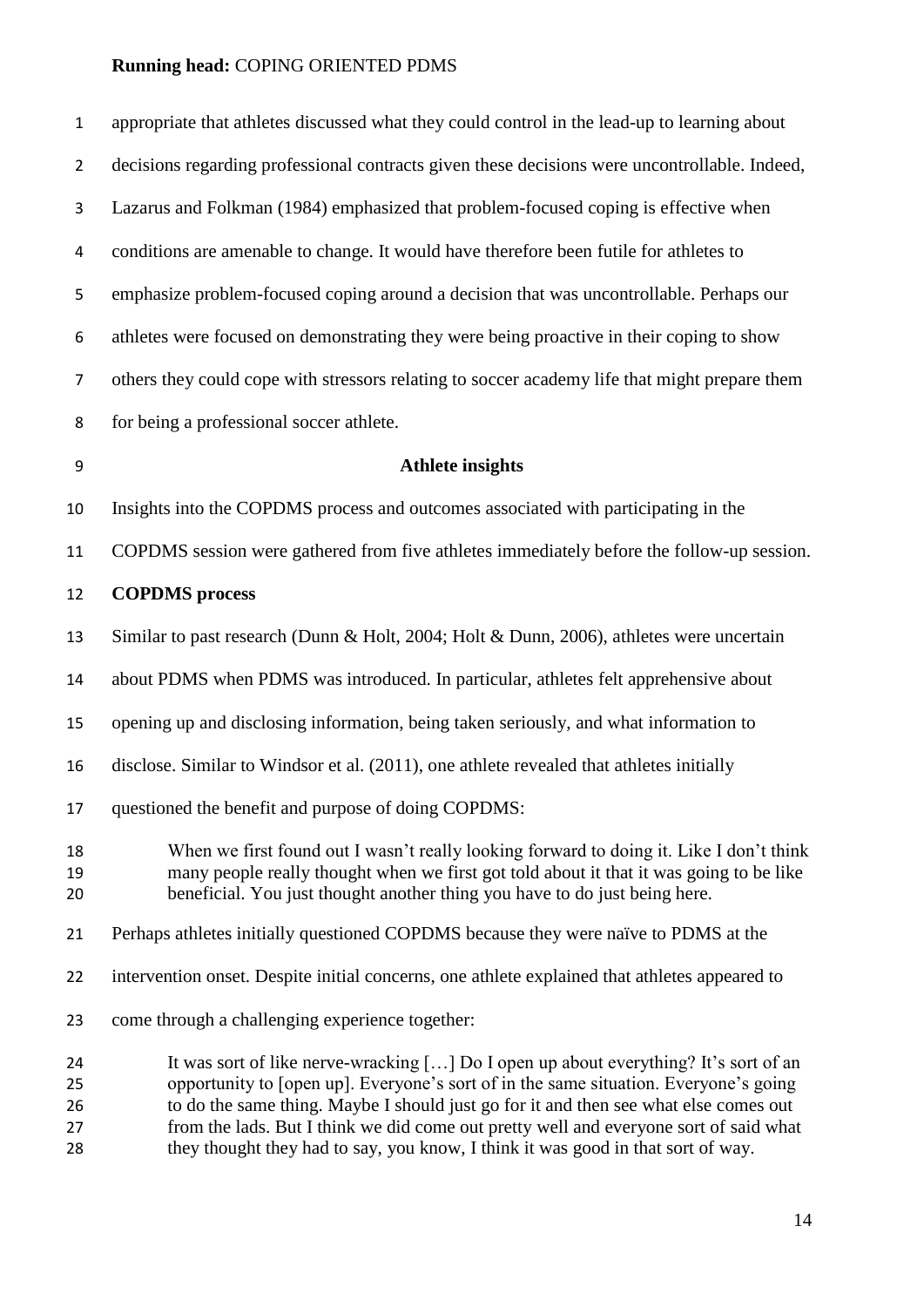| $\mathbf{1}$         | appropriate that athletes discussed what they could control in the lead-up to learning about                                                                                                                                                                                                                                                                  |
|----------------------|---------------------------------------------------------------------------------------------------------------------------------------------------------------------------------------------------------------------------------------------------------------------------------------------------------------------------------------------------------------|
| $\overline{2}$       | decisions regarding professional contracts given these decisions were uncontrollable. Indeed,                                                                                                                                                                                                                                                                 |
| 3                    | Lazarus and Folkman (1984) emphasized that problem-focused coping is effective when                                                                                                                                                                                                                                                                           |
| 4                    | conditions are amenable to change. It would have therefore been futile for athletes to                                                                                                                                                                                                                                                                        |
| 5                    | emphasize problem-focused coping around a decision that was uncontrollable. Perhaps our                                                                                                                                                                                                                                                                       |
| 6                    | athletes were focused on demonstrating they were being proactive in their coping to show                                                                                                                                                                                                                                                                      |
| $\overline{7}$       | others they could cope with stressors relating to soccer academy life that might prepare them                                                                                                                                                                                                                                                                 |
| 8                    | for being a professional soccer athlete.                                                                                                                                                                                                                                                                                                                      |
| $\boldsymbol{9}$     | <b>Athlete insights</b>                                                                                                                                                                                                                                                                                                                                       |
| 10                   | Insights into the COPDMS process and outcomes associated with participating in the                                                                                                                                                                                                                                                                            |
| 11                   | COPDMS session were gathered from five athletes immediately before the follow-up session.                                                                                                                                                                                                                                                                     |
| 12                   | <b>COPDMS</b> process                                                                                                                                                                                                                                                                                                                                         |
| 13                   | Similar to past research (Dunn & Holt, 2004; Holt & Dunn, 2006), athletes were uncertain                                                                                                                                                                                                                                                                      |
| 14                   | about PDMS when PDMS was introduced. In particular, athletes felt apprehensive about                                                                                                                                                                                                                                                                          |
| 15                   | opening up and disclosing information, being taken seriously, and what information to                                                                                                                                                                                                                                                                         |
| 16                   | disclose. Similar to Windsor et al. (2011), one athlete revealed that athletes initially                                                                                                                                                                                                                                                                      |
| 17                   | questioned the benefit and purpose of doing COPDMS:                                                                                                                                                                                                                                                                                                           |
| 18<br>19<br>20       | When we first found out I wasn't really looking forward to doing it. Like I don't think<br>many people really thought when we first got told about it that it was going to be like<br>beneficial. You just thought another thing you have to do just being here.                                                                                              |
| 21                   | Perhaps athletes initially questioned COPDMS because they were naïve to PDMS at the                                                                                                                                                                                                                                                                           |
| 22                   | intervention onset. Despite initial concerns, one athlete explained that athletes appeared to                                                                                                                                                                                                                                                                 |
| 23                   | come through a challenging experience together:                                                                                                                                                                                                                                                                                                               |
| 24<br>25<br>26<br>27 | It was sort of like nerve-wracking [] Do I open up about everything? It's sort of an<br>opportunity to [open up]. Everyone's sort of in the same situation. Everyone's going<br>to do the same thing. Maybe I should just go for it and then see what else comes out<br>from the lads. But I think we did come out pretty well and everyone sort of said what |

they thought they had to say, you know, I think it was good in that sort of way.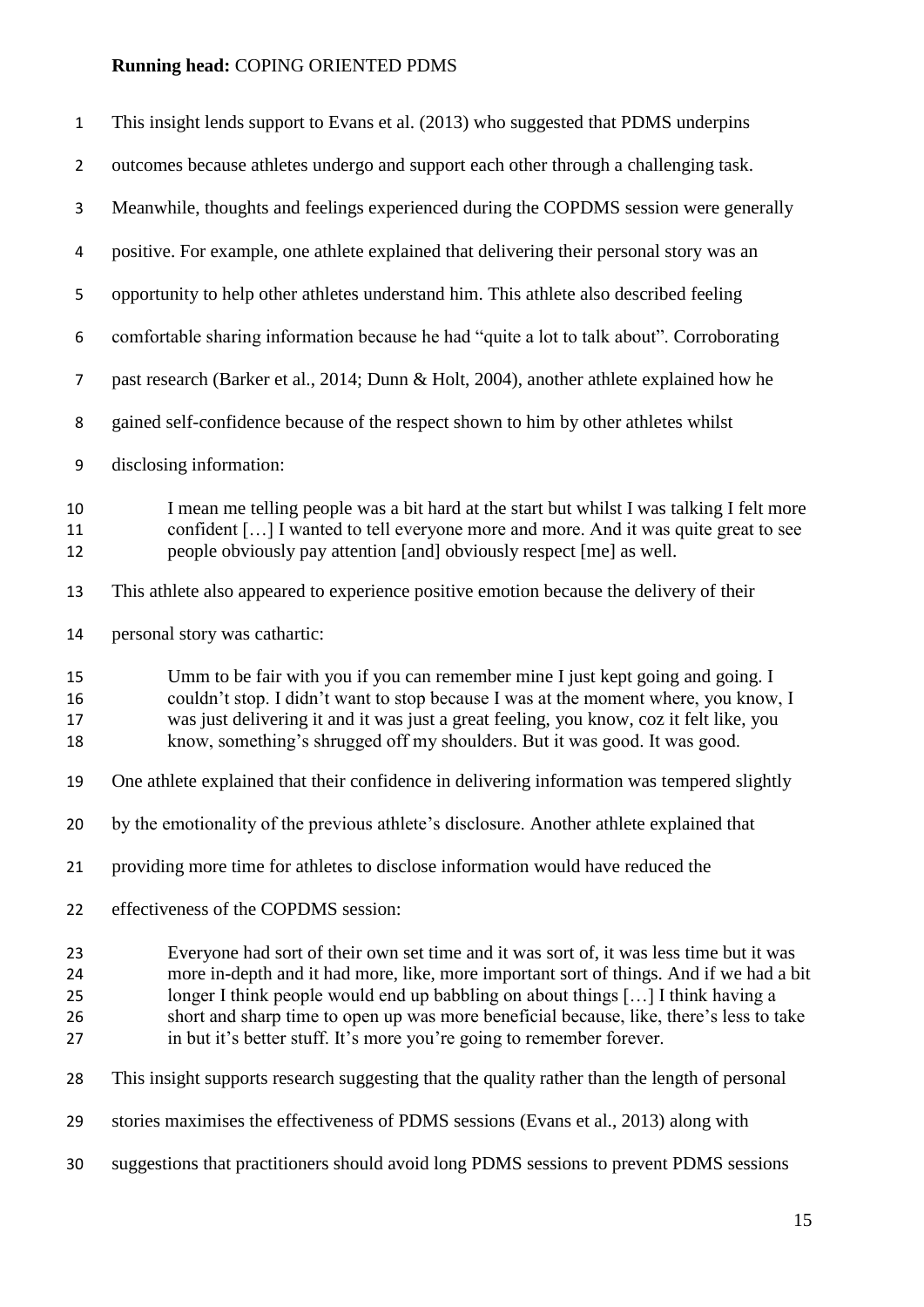| $\mathbf 1$                | This insight lends support to Evans et al. (2013) who suggested that PDMS underpins                                                                                                                                                                                                                                                                                                                                                       |
|----------------------------|-------------------------------------------------------------------------------------------------------------------------------------------------------------------------------------------------------------------------------------------------------------------------------------------------------------------------------------------------------------------------------------------------------------------------------------------|
| $\overline{2}$             | outcomes because athletes undergo and support each other through a challenging task.                                                                                                                                                                                                                                                                                                                                                      |
| 3                          | Meanwhile, thoughts and feelings experienced during the COPDMS session were generally                                                                                                                                                                                                                                                                                                                                                     |
| 4                          | positive. For example, one athlete explained that delivering their personal story was an                                                                                                                                                                                                                                                                                                                                                  |
| 5                          | opportunity to help other athletes understand him. This athlete also described feeling                                                                                                                                                                                                                                                                                                                                                    |
| 6                          | comfortable sharing information because he had "quite a lot to talk about". Corroborating                                                                                                                                                                                                                                                                                                                                                 |
| $\overline{7}$             | past research (Barker et al., 2014; Dunn & Holt, 2004), another athlete explained how he                                                                                                                                                                                                                                                                                                                                                  |
| 8                          | gained self-confidence because of the respect shown to him by other athletes whilst                                                                                                                                                                                                                                                                                                                                                       |
| 9                          | disclosing information:                                                                                                                                                                                                                                                                                                                                                                                                                   |
| 10<br>11<br>12             | I mean me telling people was a bit hard at the start but whilst I was talking I felt more<br>confident [] I wanted to tell everyone more and more. And it was quite great to see<br>people obviously pay attention [and] obviously respect [me] as well.                                                                                                                                                                                  |
| 13                         | This athlete also appeared to experience positive emotion because the delivery of their                                                                                                                                                                                                                                                                                                                                                   |
| 14                         | personal story was cathartic:                                                                                                                                                                                                                                                                                                                                                                                                             |
| 15<br>16<br>17<br>18       | Umm to be fair with you if you can remember mine I just kept going and going. I<br>couldn't stop. I didn't want to stop because I was at the moment where, you know, I<br>was just delivering it and it was just a great feeling, you know, coz it felt like, you<br>know, something's shrugged off my shoulders. But it was good. It was good.                                                                                           |
| 19                         | One athlete explained that their confidence in delivering information was tempered slightly                                                                                                                                                                                                                                                                                                                                               |
| 20                         | by the emotionality of the previous athlete's disclosure. Another athlete explained that                                                                                                                                                                                                                                                                                                                                                  |
| 21                         | providing more time for athletes to disclose information would have reduced the                                                                                                                                                                                                                                                                                                                                                           |
| 22                         | effectiveness of the COPDMS session:                                                                                                                                                                                                                                                                                                                                                                                                      |
| 23<br>24<br>25<br>26<br>27 | Everyone had sort of their own set time and it was sort of, it was less time but it was<br>more in-depth and it had more, like, more important sort of things. And if we had a bit<br>longer I think people would end up babbling on about things [] I think having a<br>short and sharp time to open up was more beneficial because, like, there's less to take<br>in but it's better stuff. It's more you're going to remember forever. |
| 28                         | This insight supports research suggesting that the quality rather than the length of personal                                                                                                                                                                                                                                                                                                                                             |
| 29                         | stories maximises the effectiveness of PDMS sessions (Evans et al., 2013) along with                                                                                                                                                                                                                                                                                                                                                      |
| 30                         | suggestions that practitioners should avoid long PDMS sessions to prevent PDMS sessions                                                                                                                                                                                                                                                                                                                                                   |
|                            |                                                                                                                                                                                                                                                                                                                                                                                                                                           |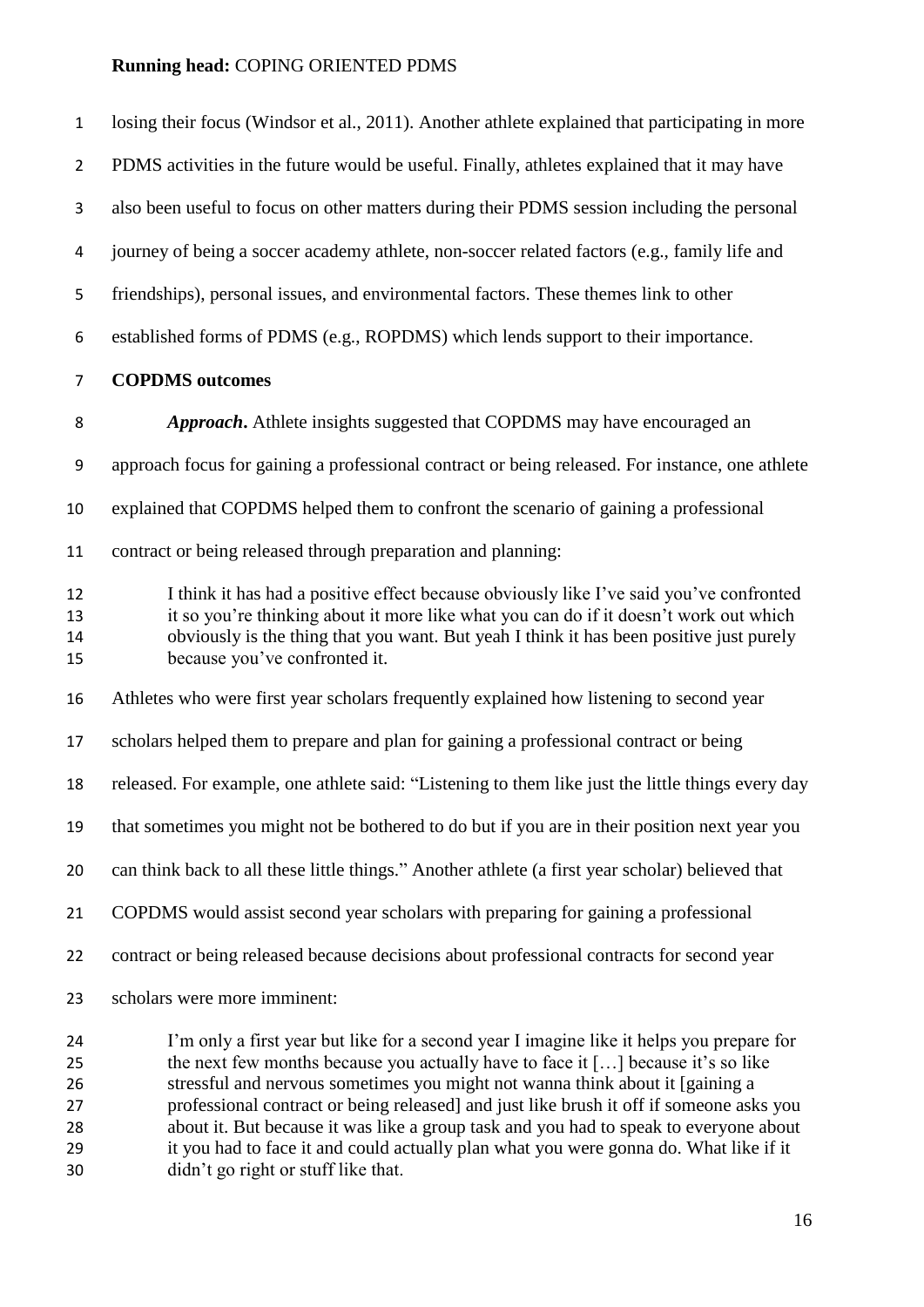| $\mathbf{1}$                     | losing their focus (Windsor et al., 2011). Another athlete explained that participating in more                                                                                                                                                                                                                                                                                                                                                                                                                                            |
|----------------------------------|--------------------------------------------------------------------------------------------------------------------------------------------------------------------------------------------------------------------------------------------------------------------------------------------------------------------------------------------------------------------------------------------------------------------------------------------------------------------------------------------------------------------------------------------|
| $\overline{2}$                   | PDMS activities in the future would be useful. Finally, athletes explained that it may have                                                                                                                                                                                                                                                                                                                                                                                                                                                |
| 3                                | also been useful to focus on other matters during their PDMS session including the personal                                                                                                                                                                                                                                                                                                                                                                                                                                                |
| 4                                | journey of being a soccer academy athlete, non-soccer related factors (e.g., family life and                                                                                                                                                                                                                                                                                                                                                                                                                                               |
| 5                                | friendships), personal issues, and environmental factors. These themes link to other                                                                                                                                                                                                                                                                                                                                                                                                                                                       |
| 6                                | established forms of PDMS (e.g., ROPDMS) which lends support to their importance.                                                                                                                                                                                                                                                                                                                                                                                                                                                          |
| $\overline{7}$                   | <b>COPDMS</b> outcomes                                                                                                                                                                                                                                                                                                                                                                                                                                                                                                                     |
| 8                                | <b>Approach.</b> Athlete insights suggested that COPDMS may have encouraged an                                                                                                                                                                                                                                                                                                                                                                                                                                                             |
| 9                                | approach focus for gaining a professional contract or being released. For instance, one athlete                                                                                                                                                                                                                                                                                                                                                                                                                                            |
| 10                               | explained that COPDMS helped them to confront the scenario of gaining a professional                                                                                                                                                                                                                                                                                                                                                                                                                                                       |
| 11                               | contract or being released through preparation and planning:                                                                                                                                                                                                                                                                                                                                                                                                                                                                               |
| 12<br>13<br>14<br>15             | I think it has had a positive effect because obviously like I've said you've confronted<br>it so you're thinking about it more like what you can do if it doesn't work out which<br>obviously is the thing that you want. But yeah I think it has been positive just purely<br>because you've confronted it.                                                                                                                                                                                                                               |
| 16                               | Athletes who were first year scholars frequently explained how listening to second year                                                                                                                                                                                                                                                                                                                                                                                                                                                    |
| 17                               | scholars helped them to prepare and plan for gaining a professional contract or being                                                                                                                                                                                                                                                                                                                                                                                                                                                      |
| 18                               | released. For example, one athlete said: "Listening to them like just the little things every day                                                                                                                                                                                                                                                                                                                                                                                                                                          |
| 19                               | that sometimes you might not be bothered to do but if you are in their position next year you                                                                                                                                                                                                                                                                                                                                                                                                                                              |
| 20                               | can think back to all these little things." Another athlete (a first year scholar) believed that                                                                                                                                                                                                                                                                                                                                                                                                                                           |
| 21                               | COPDMS would assist second year scholars with preparing for gaining a professional                                                                                                                                                                                                                                                                                                                                                                                                                                                         |
| 22                               | contract or being released because decisions about professional contracts for second year                                                                                                                                                                                                                                                                                                                                                                                                                                                  |
| 23                               | scholars were more imminent:                                                                                                                                                                                                                                                                                                                                                                                                                                                                                                               |
| 24<br>25<br>26<br>27<br>28<br>29 | I'm only a first year but like for a second year I imagine like it helps you prepare for<br>the next few months because you actually have to face it [] because it's so like<br>stressful and nervous sometimes you might not wanna think about it [gaining a<br>professional contract or being released] and just like brush it off if someone asks you<br>about it. But because it was like a group task and you had to speak to everyone about<br>it you had to face it and could actually plan what you were gonna do. What like if it |

didn't go right or stuff like that.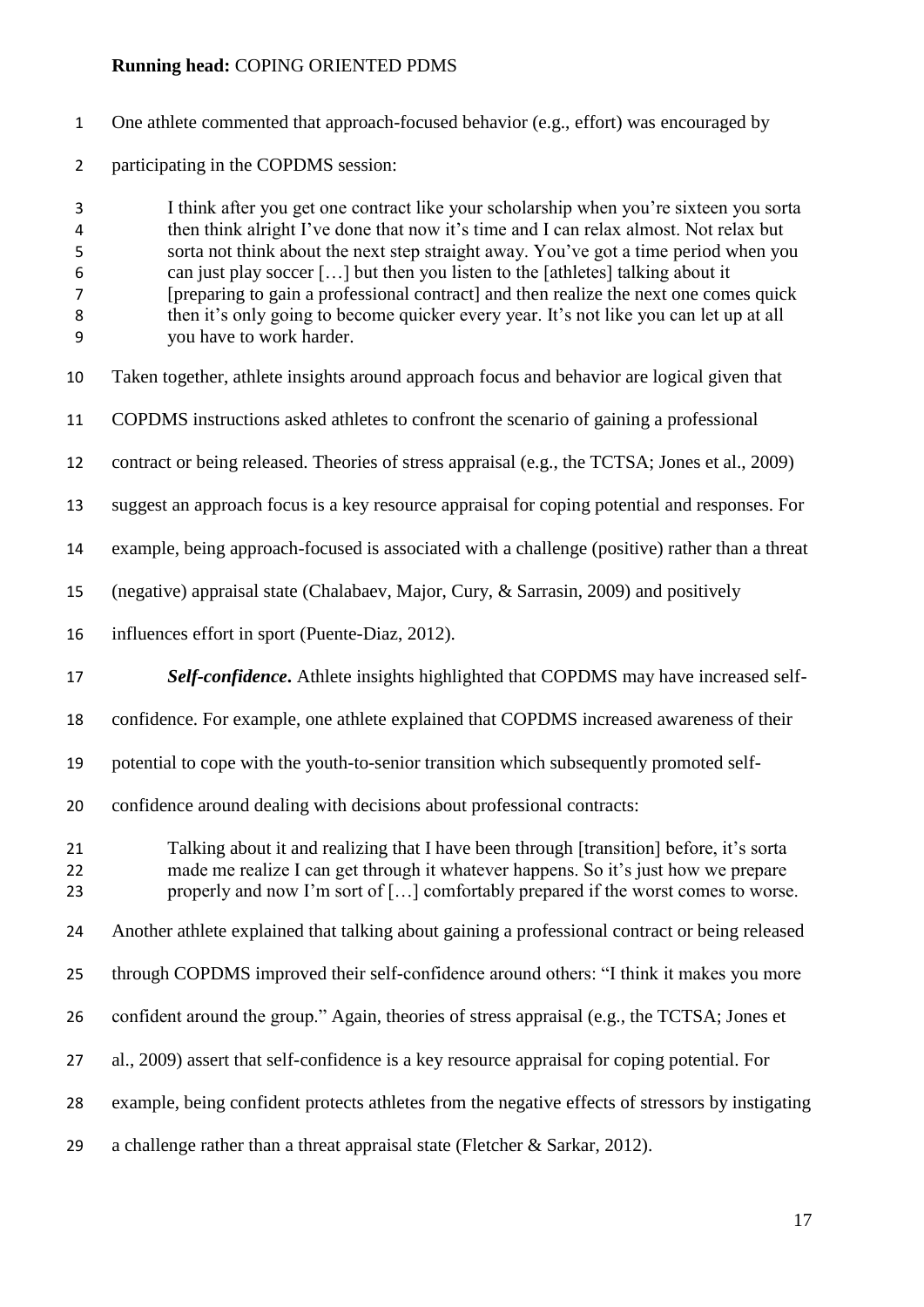| $\mathbf{1}$                                 | One athlete commented that approach-focused behavior (e.g., effort) was encouraged by                                                                                                                                                                                                                                                                                                                                                                                                                                                                                    |
|----------------------------------------------|--------------------------------------------------------------------------------------------------------------------------------------------------------------------------------------------------------------------------------------------------------------------------------------------------------------------------------------------------------------------------------------------------------------------------------------------------------------------------------------------------------------------------------------------------------------------------|
| $\overline{2}$                               | participating in the COPDMS session:                                                                                                                                                                                                                                                                                                                                                                                                                                                                                                                                     |
| 3<br>4<br>5<br>6<br>$\overline{7}$<br>8<br>9 | I think after you get one contract like your scholarship when you're sixteen you sorta<br>then think alright I've done that now it's time and I can relax almost. Not relax but<br>sorta not think about the next step straight away. You've got a time period when you<br>can just play soccer [] but then you listen to the [athletes] talking about it<br>[preparing to gain a professional contract] and then realize the next one comes quick<br>then it's only going to become quicker every year. It's not like you can let up at all<br>you have to work harder. |
| 10                                           | Taken together, athlete insights around approach focus and behavior are logical given that                                                                                                                                                                                                                                                                                                                                                                                                                                                                               |
| 11                                           | COPDMS instructions asked athletes to confront the scenario of gaining a professional                                                                                                                                                                                                                                                                                                                                                                                                                                                                                    |
| 12                                           | contract or being released. Theories of stress appraisal (e.g., the TCTSA; Jones et al., 2009)                                                                                                                                                                                                                                                                                                                                                                                                                                                                           |
| 13                                           | suggest an approach focus is a key resource appraisal for coping potential and responses. For                                                                                                                                                                                                                                                                                                                                                                                                                                                                            |
| 14                                           | example, being approach-focused is associated with a challenge (positive) rather than a threat                                                                                                                                                                                                                                                                                                                                                                                                                                                                           |
| 15                                           | (negative) appraisal state (Chalabaev, Major, Cury, & Sarrasin, 2009) and positively                                                                                                                                                                                                                                                                                                                                                                                                                                                                                     |
| 16                                           | influences effort in sport (Puente-Diaz, 2012).                                                                                                                                                                                                                                                                                                                                                                                                                                                                                                                          |
| 17                                           | Self-confidence. Athlete insights highlighted that COPDMS may have increased self-                                                                                                                                                                                                                                                                                                                                                                                                                                                                                       |
| 18                                           | confidence. For example, one athlete explained that COPDMS increased awareness of their                                                                                                                                                                                                                                                                                                                                                                                                                                                                                  |
| 19                                           | potential to cope with the youth-to-senior transition which subsequently promoted self-                                                                                                                                                                                                                                                                                                                                                                                                                                                                                  |
| 20                                           | confidence around dealing with decisions about professional contracts:                                                                                                                                                                                                                                                                                                                                                                                                                                                                                                   |
| 21<br>22<br>23                               | Talking about it and realizing that I have been through [transition] before, it's sorta<br>made me realize I can get through it whatever happens. So it's just how we prepare<br>properly and now I'm sort of [] comfortably prepared if the worst comes to worse.                                                                                                                                                                                                                                                                                                       |
| 24                                           | Another athlete explained that talking about gaining a professional contract or being released                                                                                                                                                                                                                                                                                                                                                                                                                                                                           |
| 25                                           | through COPDMS improved their self-confidence around others: "I think it makes you more                                                                                                                                                                                                                                                                                                                                                                                                                                                                                  |
| 26                                           | confident around the group." Again, theories of stress appraisal (e.g., the TCTSA; Jones et                                                                                                                                                                                                                                                                                                                                                                                                                                                                              |
| 27                                           | al., 2009) assert that self-confidence is a key resource appraisal for coping potential. For                                                                                                                                                                                                                                                                                                                                                                                                                                                                             |
| 28                                           | example, being confident protects athletes from the negative effects of stressors by instigating                                                                                                                                                                                                                                                                                                                                                                                                                                                                         |
| 29                                           | a challenge rather than a threat appraisal state (Fletcher & Sarkar, 2012).                                                                                                                                                                                                                                                                                                                                                                                                                                                                                              |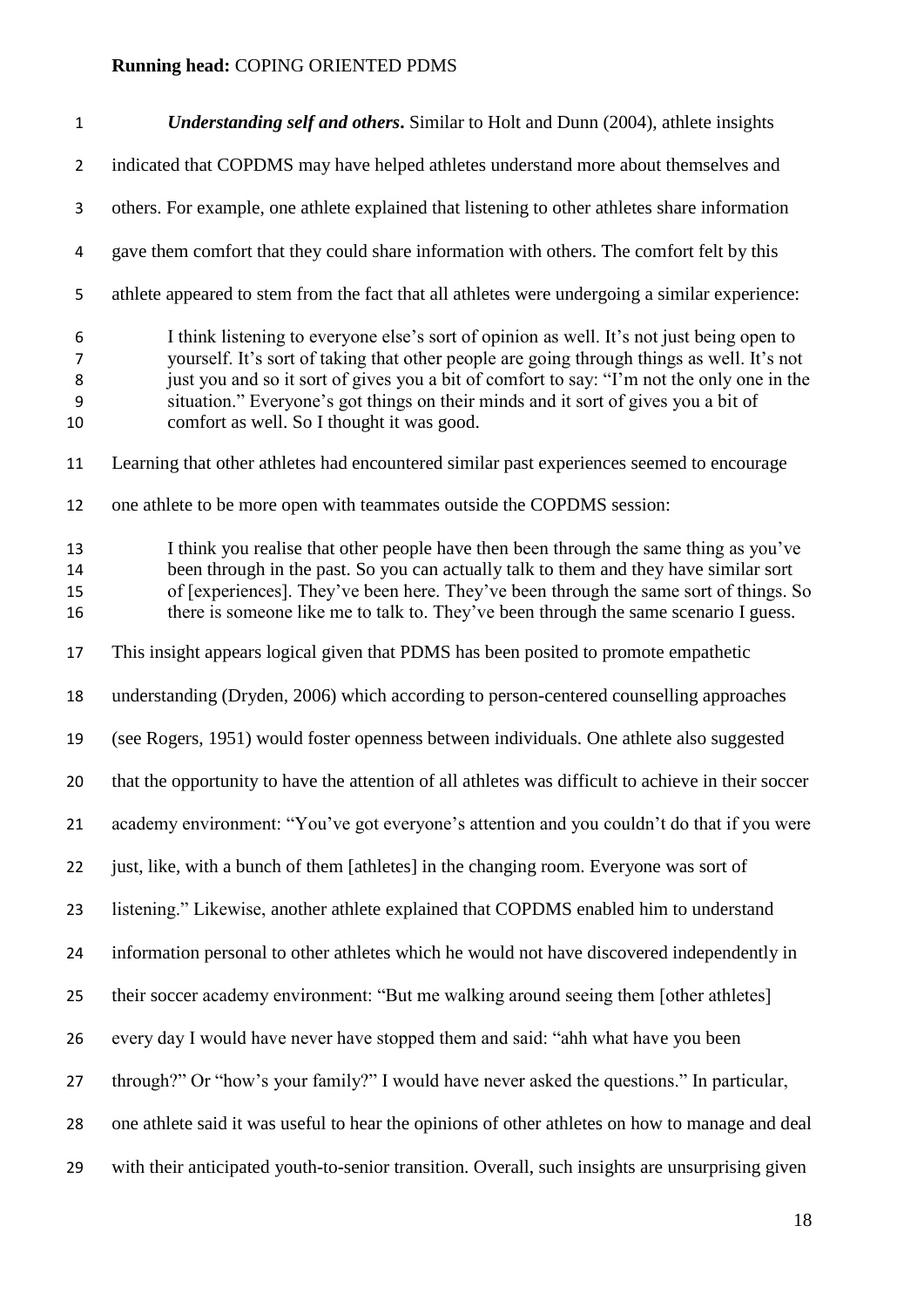| $\mathbf 1$                         | <b>Understanding self and others.</b> Similar to Holt and Dunn (2004), athlete insights                                                                                                                                                                                                                                                                                                                                   |
|-------------------------------------|---------------------------------------------------------------------------------------------------------------------------------------------------------------------------------------------------------------------------------------------------------------------------------------------------------------------------------------------------------------------------------------------------------------------------|
| $\overline{2}$                      | indicated that COPDMS may have helped athletes understand more about themselves and                                                                                                                                                                                                                                                                                                                                       |
| 3                                   | others. For example, one athlete explained that listening to other athletes share information                                                                                                                                                                                                                                                                                                                             |
| 4                                   | gave them comfort that they could share information with others. The comfort felt by this                                                                                                                                                                                                                                                                                                                                 |
| 5                                   | athlete appeared to stem from the fact that all athletes were undergoing a similar experience:                                                                                                                                                                                                                                                                                                                            |
| 6<br>$\overline{7}$<br>8<br>9<br>10 | I think listening to everyone else's sort of opinion as well. It's not just being open to<br>yourself. It's sort of taking that other people are going through things as well. It's not<br>just you and so it sort of gives you a bit of comfort to say: "I'm not the only one in the<br>situation." Everyone's got things on their minds and it sort of gives you a bit of<br>comfort as well. So I thought it was good. |
| 11                                  | Learning that other athletes had encountered similar past experiences seemed to encourage                                                                                                                                                                                                                                                                                                                                 |
| 12                                  | one athlete to be more open with teammates outside the COPDMS session:                                                                                                                                                                                                                                                                                                                                                    |
| 13<br>14<br>15<br>16                | I think you realise that other people have then been through the same thing as you've<br>been through in the past. So you can actually talk to them and they have similar sort<br>of [experiences]. They've been here. They've been through the same sort of things. So<br>there is someone like me to talk to. They've been through the same scenario I guess.                                                           |
| 17                                  | This insight appears logical given that PDMS has been posited to promote empathetic                                                                                                                                                                                                                                                                                                                                       |
| 18                                  | understanding (Dryden, 2006) which according to person-centered counselling approaches                                                                                                                                                                                                                                                                                                                                    |
| 19                                  | (see Rogers, 1951) would foster openness between individuals. One athlete also suggested                                                                                                                                                                                                                                                                                                                                  |
| 20                                  | that the opportunity to have the attention of all athletes was difficult to achieve in their soccer                                                                                                                                                                                                                                                                                                                       |
| 21                                  | academy environment: "You've got everyone's attention and you couldn't do that if you were                                                                                                                                                                                                                                                                                                                                |
| 22                                  | just, like, with a bunch of them [athletes] in the changing room. Everyone was sort of                                                                                                                                                                                                                                                                                                                                    |
| 23                                  | listening." Likewise, another athlete explained that COPDMS enabled him to understand                                                                                                                                                                                                                                                                                                                                     |
| 24                                  | information personal to other athletes which he would not have discovered independently in                                                                                                                                                                                                                                                                                                                                |
| 25                                  | their soccer academy environment: "But me walking around seeing them [other athletes]                                                                                                                                                                                                                                                                                                                                     |
| 26                                  | every day I would have never have stopped them and said: "ahh what have you been                                                                                                                                                                                                                                                                                                                                          |
| 27                                  | through?" Or "how's your family?" I would have never asked the questions." In particular,                                                                                                                                                                                                                                                                                                                                 |
| 28                                  | one athlete said it was useful to hear the opinions of other athletes on how to manage and deal                                                                                                                                                                                                                                                                                                                           |
| 29                                  | with their anticipated youth-to-senior transition. Overall, such insights are unsurprising given                                                                                                                                                                                                                                                                                                                          |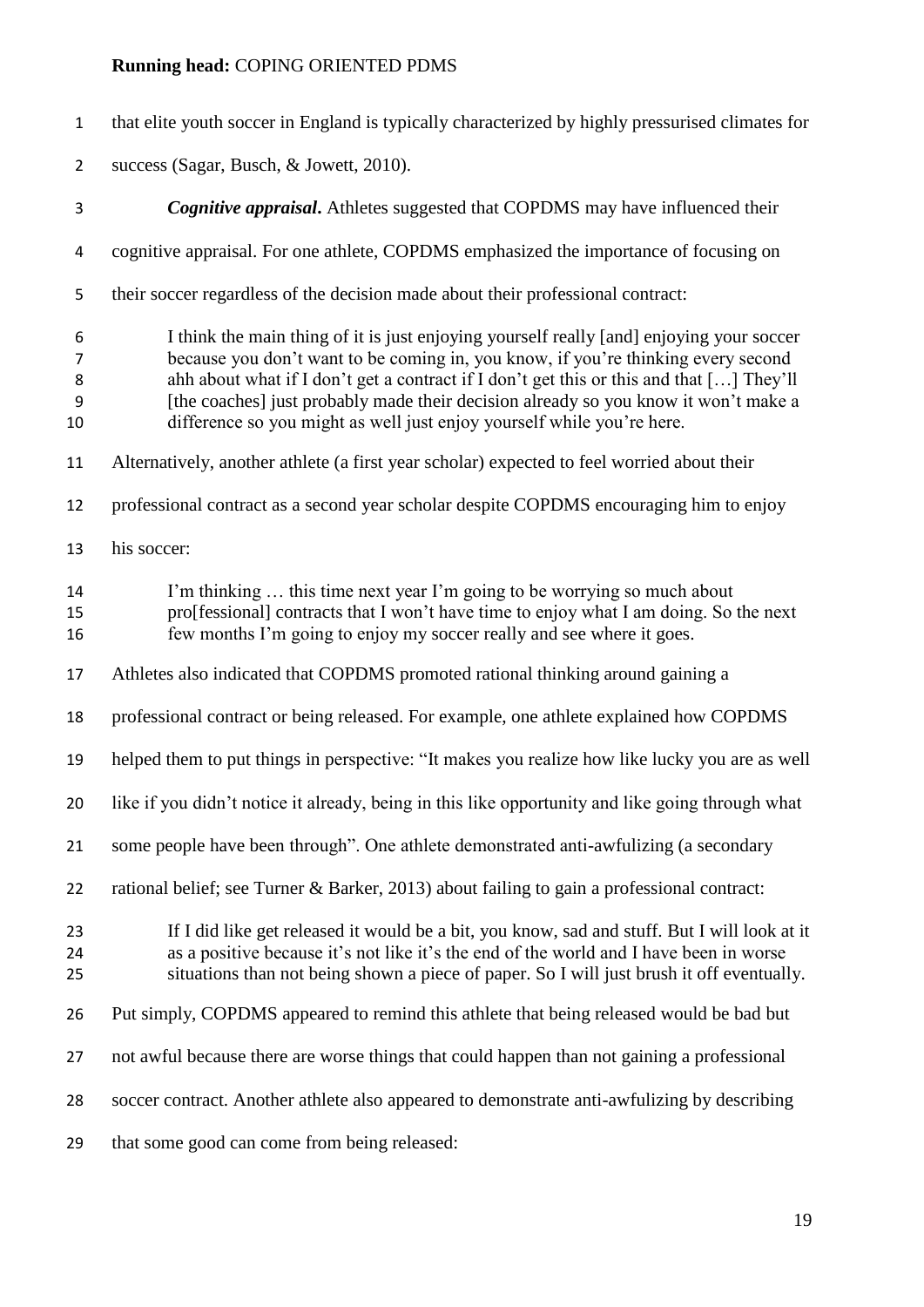| $\mathbf{1}$           | that elite youth soccer in England is typically characterized by highly pressurised climates for                                                                                                                                                                                                                                                                                                                                           |
|------------------------|--------------------------------------------------------------------------------------------------------------------------------------------------------------------------------------------------------------------------------------------------------------------------------------------------------------------------------------------------------------------------------------------------------------------------------------------|
| $\overline{2}$         | success (Sagar, Busch, & Jowett, 2010).                                                                                                                                                                                                                                                                                                                                                                                                    |
| 3                      | Cognitive appraisal. Athletes suggested that COPDMS may have influenced their                                                                                                                                                                                                                                                                                                                                                              |
| 4                      | cognitive appraisal. For one athlete, COPDMS emphasized the importance of focusing on                                                                                                                                                                                                                                                                                                                                                      |
| 5                      | their soccer regardless of the decision made about their professional contract:                                                                                                                                                                                                                                                                                                                                                            |
| 6<br>7<br>8<br>9<br>10 | I think the main thing of it is just enjoying yourself really [and] enjoying your soccer<br>because you don't want to be coming in, you know, if you're thinking every second<br>ahh about what if I don't get a contract if I don't get this or this and that [] They'll<br>[the coaches] just probably made their decision already so you know it won't make a<br>difference so you might as well just enjoy yourself while you're here. |
| 11                     | Alternatively, another athlete (a first year scholar) expected to feel worried about their                                                                                                                                                                                                                                                                                                                                                 |
| 12                     | professional contract as a second year scholar despite COPDMS encouraging him to enjoy                                                                                                                                                                                                                                                                                                                                                     |
| 13                     | his soccer:                                                                                                                                                                                                                                                                                                                                                                                                                                |
| 14<br>15<br>16         | I'm thinking  this time next year I'm going to be worrying so much about<br>pro[fessional] contracts that I won't have time to enjoy what I am doing. So the next<br>few months I'm going to enjoy my soccer really and see where it goes.                                                                                                                                                                                                 |
| 17                     | Athletes also indicated that COPDMS promoted rational thinking around gaining a                                                                                                                                                                                                                                                                                                                                                            |
| 18                     | professional contract or being released. For example, one athlete explained how COPDMS                                                                                                                                                                                                                                                                                                                                                     |
| 19                     | helped them to put things in perspective: "It makes you realize how like lucky you are as well                                                                                                                                                                                                                                                                                                                                             |
| 20                     | like if you didn't notice it already, being in this like opportunity and like going through what                                                                                                                                                                                                                                                                                                                                           |
| 21                     | some people have been through". One athlete demonstrated anti-awfulizing (a secondary                                                                                                                                                                                                                                                                                                                                                      |
| 22                     | rational belief; see Turner & Barker, 2013) about failing to gain a professional contract:                                                                                                                                                                                                                                                                                                                                                 |
| 23<br>24<br>25         | If I did like get released it would be a bit, you know, sad and stuff. But I will look at it<br>as a positive because it's not like it's the end of the world and I have been in worse<br>situations than not being shown a piece of paper. So I will just brush it off eventually.                                                                                                                                                        |
| 26                     | Put simply, COPDMS appeared to remind this athlete that being released would be bad but                                                                                                                                                                                                                                                                                                                                                    |
| 27                     | not awful because there are worse things that could happen than not gaining a professional                                                                                                                                                                                                                                                                                                                                                 |
| 28                     | soccer contract. Another athlete also appeared to demonstrate anti-awfulizing by describing                                                                                                                                                                                                                                                                                                                                                |
| 29                     | that some good can come from being released:                                                                                                                                                                                                                                                                                                                                                                                               |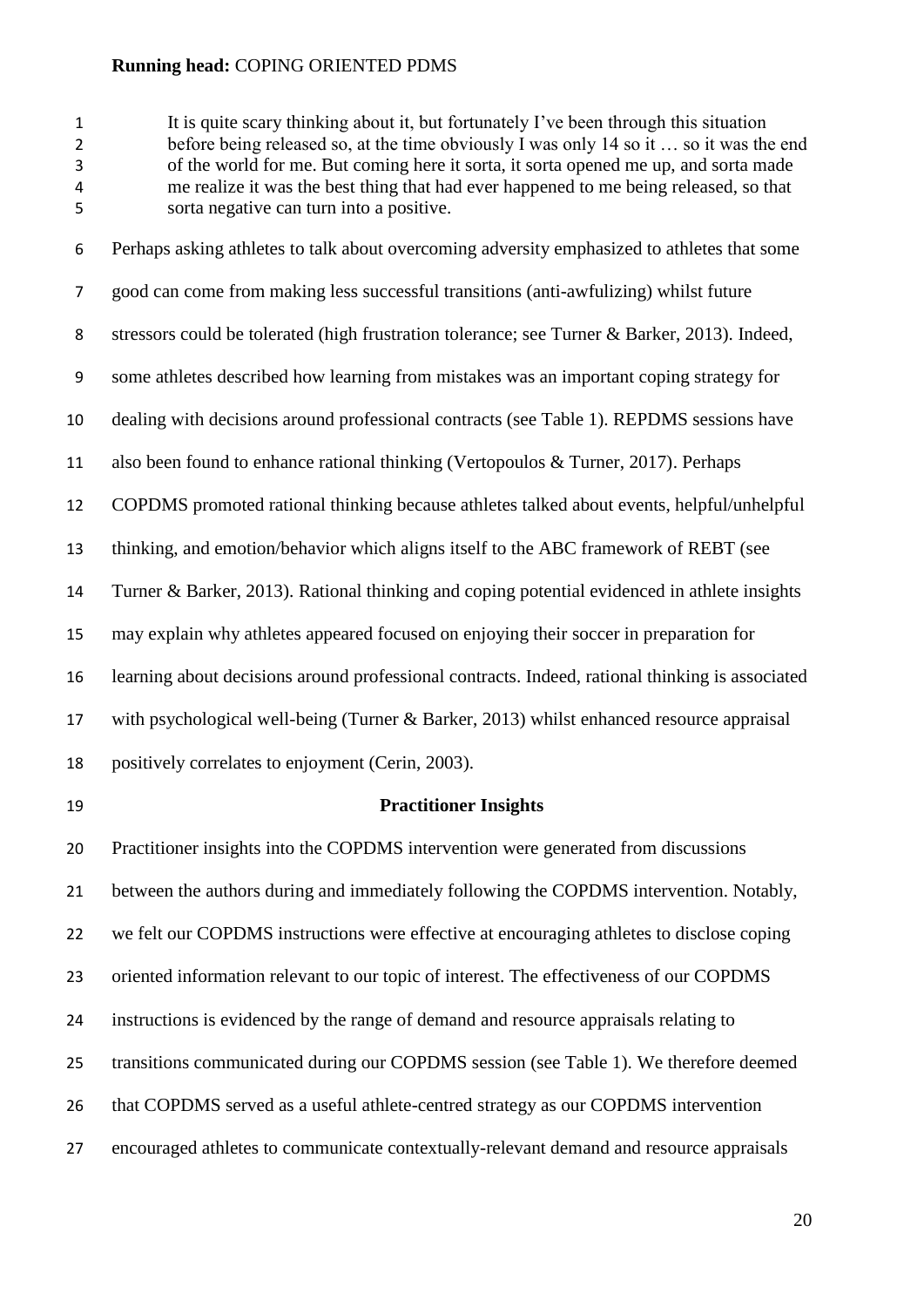It is quite scary thinking about it, but fortunately I've been through this situation before being released so, at the time obviously I was only 14 so it … so it was the end of the world for me. But coming here it sorta, it sorta opened me up, and sorta made me realize it was the best thing that had ever happened to me being released, so that sorta negative can turn into a positive.

 Perhaps asking athletes to talk about overcoming adversity emphasized to athletes that some good can come from making less successful transitions (anti-awfulizing) whilst future stressors could be tolerated (high frustration tolerance; see Turner & Barker, 2013). Indeed, some athletes described how learning from mistakes was an important coping strategy for dealing with decisions around professional contracts (see Table 1). REPDMS sessions have also been found to enhance rational thinking (Vertopoulos & Turner, 2017). Perhaps COPDMS promoted rational thinking because athletes talked about events, helpful/unhelpful thinking, and emotion/behavior which aligns itself to the ABC framework of REBT (see Turner & Barker, 2013). Rational thinking and coping potential evidenced in athlete insights may explain why athletes appeared focused on enjoying their soccer in preparation for learning about decisions around professional contracts. Indeed, rational thinking is associated with psychological well-being (Turner & Barker, 2013) whilst enhanced resource appraisal positively correlates to enjoyment (Cerin, 2003).

### **Practitioner Insights**

 Practitioner insights into the COPDMS intervention were generated from discussions between the authors during and immediately following the COPDMS intervention. Notably, we felt our COPDMS instructions were effective at encouraging athletes to disclose coping oriented information relevant to our topic of interest. The effectiveness of our COPDMS instructions is evidenced by the range of demand and resource appraisals relating to transitions communicated during our COPDMS session (see Table 1). We therefore deemed that COPDMS served as a useful athlete-centred strategy as our COPDMS intervention encouraged athletes to communicate contextually-relevant demand and resource appraisals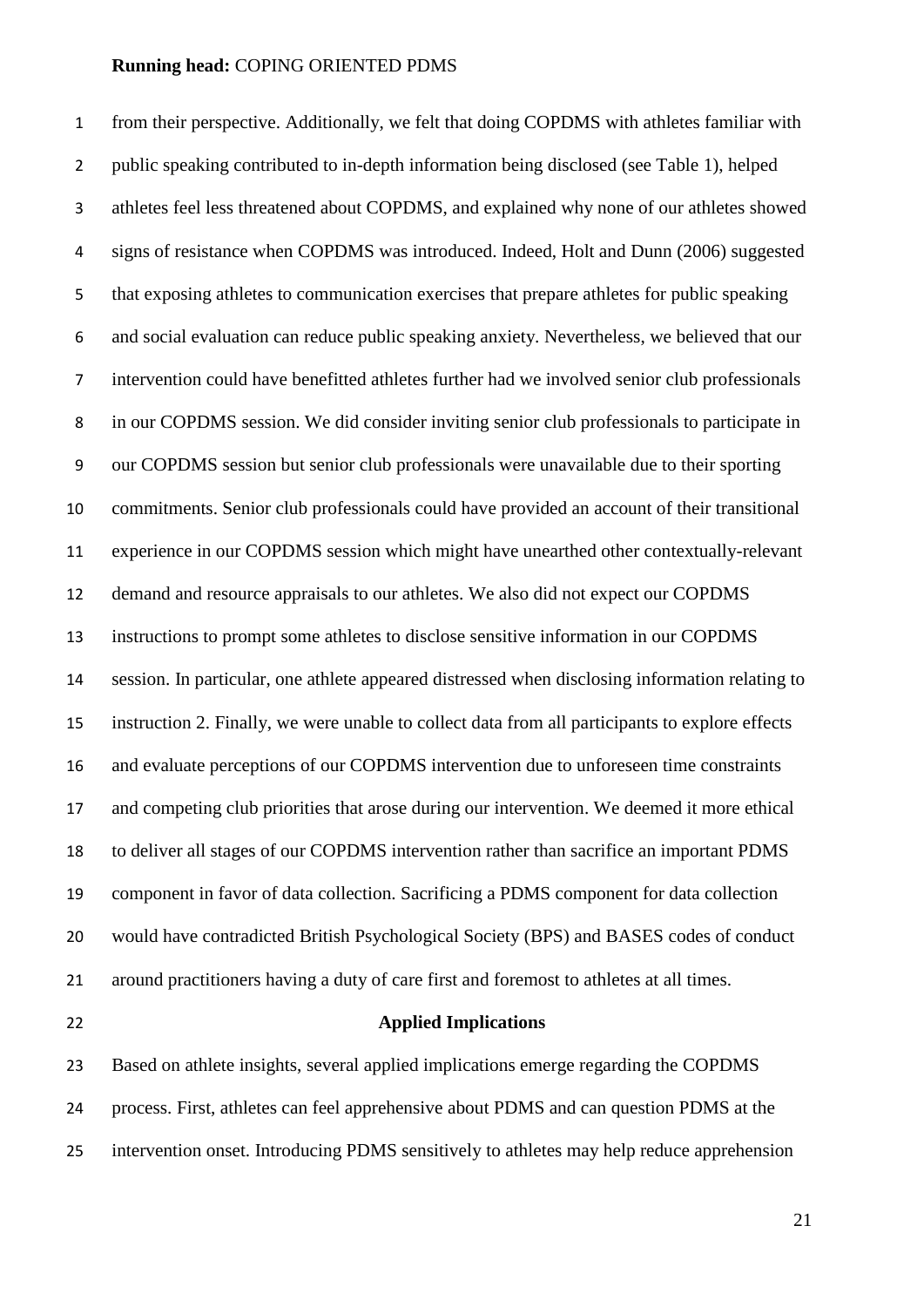from their perspective. Additionally, we felt that doing COPDMS with athletes familiar with public speaking contributed to in-depth information being disclosed (see Table 1), helped athletes feel less threatened about COPDMS, and explained why none of our athletes showed signs of resistance when COPDMS was introduced. Indeed, Holt and Dunn (2006) suggested that exposing athletes to communication exercises that prepare athletes for public speaking and social evaluation can reduce public speaking anxiety. Nevertheless, we believed that our intervention could have benefitted athletes further had we involved senior club professionals in our COPDMS session. We did consider inviting senior club professionals to participate in our COPDMS session but senior club professionals were unavailable due to their sporting commitments. Senior club professionals could have provided an account of their transitional experience in our COPDMS session which might have unearthed other contextually-relevant demand and resource appraisals to our athletes. We also did not expect our COPDMS instructions to prompt some athletes to disclose sensitive information in our COPDMS session. In particular, one athlete appeared distressed when disclosing information relating to instruction 2. Finally, we were unable to collect data from all participants to explore effects and evaluate perceptions of our COPDMS intervention due to unforeseen time constraints and competing club priorities that arose during our intervention. We deemed it more ethical to deliver all stages of our COPDMS intervention rather than sacrifice an important PDMS component in favor of data collection. Sacrificing a PDMS component for data collection would have contradicted British Psychological Society (BPS) and BASES codes of conduct around practitioners having a duty of care first and foremost to athletes at all times.

### **Applied Implications**

 Based on athlete insights, several applied implications emerge regarding the COPDMS process. First, athletes can feel apprehensive about PDMS and can question PDMS at the intervention onset. Introducing PDMS sensitively to athletes may help reduce apprehension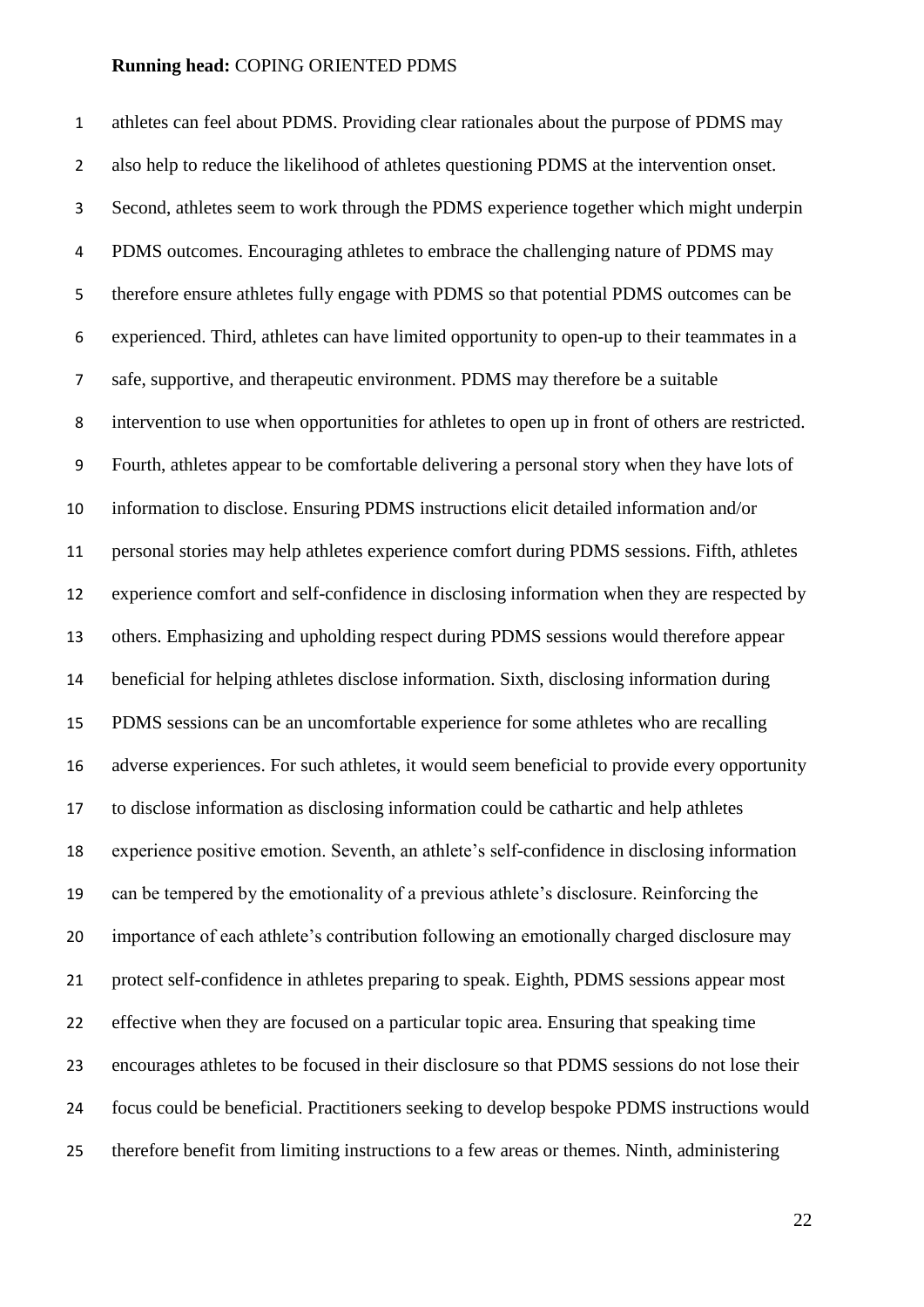athletes can feel about PDMS. Providing clear rationales about the purpose of PDMS may also help to reduce the likelihood of athletes questioning PDMS at the intervention onset. Second, athletes seem to work through the PDMS experience together which might underpin PDMS outcomes. Encouraging athletes to embrace the challenging nature of PDMS may therefore ensure athletes fully engage with PDMS so that potential PDMS outcomes can be experienced. Third, athletes can have limited opportunity to open-up to their teammates in a safe, supportive, and therapeutic environment. PDMS may therefore be a suitable intervention to use when opportunities for athletes to open up in front of others are restricted. Fourth, athletes appear to be comfortable delivering a personal story when they have lots of information to disclose. Ensuring PDMS instructions elicit detailed information and/or personal stories may help athletes experience comfort during PDMS sessions. Fifth, athletes experience comfort and self-confidence in disclosing information when they are respected by others. Emphasizing and upholding respect during PDMS sessions would therefore appear beneficial for helping athletes disclose information. Sixth, disclosing information during PDMS sessions can be an uncomfortable experience for some athletes who are recalling adverse experiences. For such athletes, it would seem beneficial to provide every opportunity to disclose information as disclosing information could be cathartic and help athletes experience positive emotion. Seventh, an athlete's self-confidence in disclosing information can be tempered by the emotionality of a previous athlete's disclosure. Reinforcing the importance of each athlete's contribution following an emotionally charged disclosure may protect self-confidence in athletes preparing to speak. Eighth, PDMS sessions appear most effective when they are focused on a particular topic area. Ensuring that speaking time encourages athletes to be focused in their disclosure so that PDMS sessions do not lose their focus could be beneficial. Practitioners seeking to develop bespoke PDMS instructions would therefore benefit from limiting instructions to a few areas or themes. Ninth, administering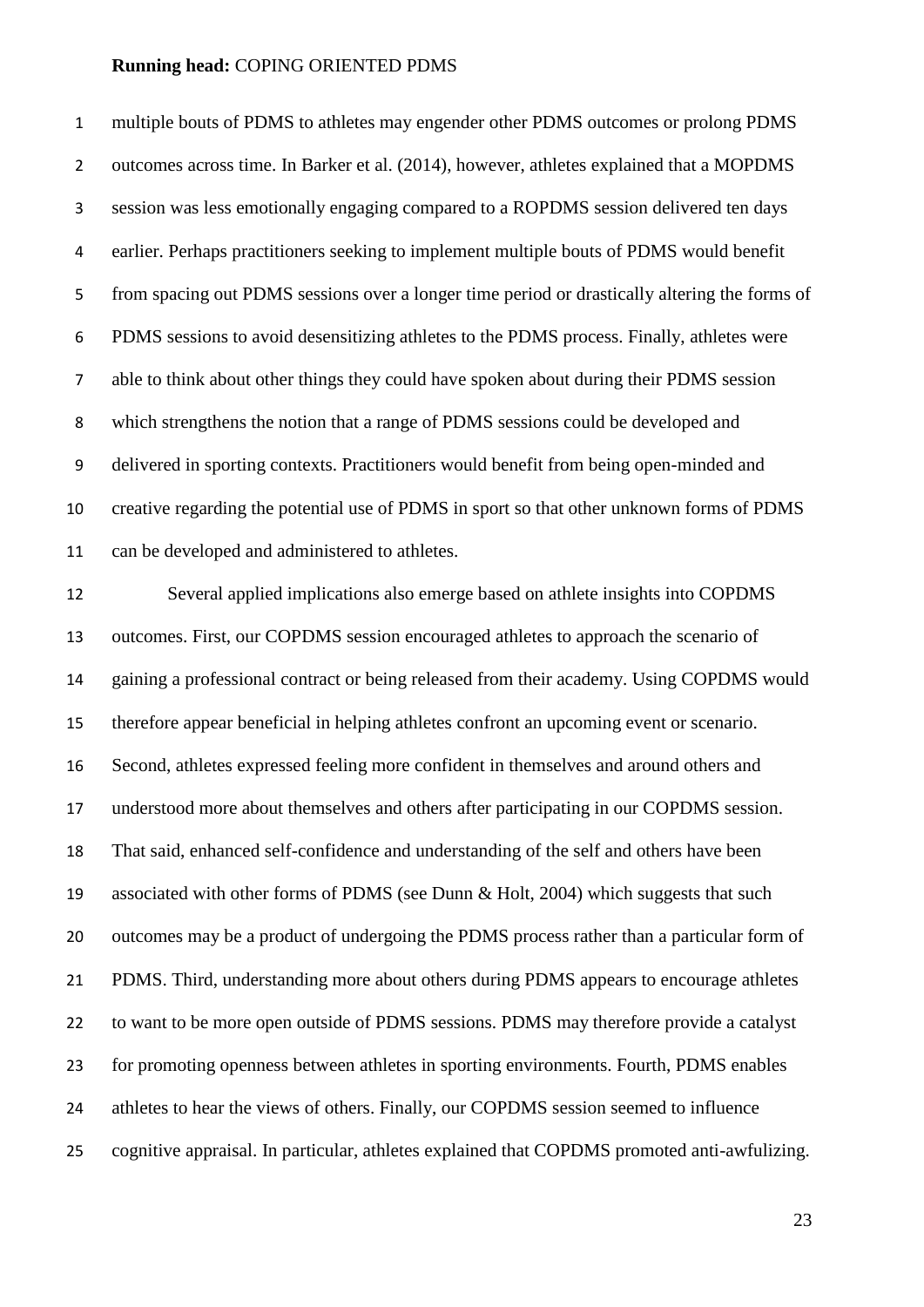multiple bouts of PDMS to athletes may engender other PDMS outcomes or prolong PDMS outcomes across time. In Barker et al. (2014), however, athletes explained that a MOPDMS session was less emotionally engaging compared to a ROPDMS session delivered ten days earlier. Perhaps practitioners seeking to implement multiple bouts of PDMS would benefit from spacing out PDMS sessions over a longer time period or drastically altering the forms of PDMS sessions to avoid desensitizing athletes to the PDMS process. Finally, athletes were able to think about other things they could have spoken about during their PDMS session which strengthens the notion that a range of PDMS sessions could be developed and delivered in sporting contexts. Practitioners would benefit from being open-minded and creative regarding the potential use of PDMS in sport so that other unknown forms of PDMS can be developed and administered to athletes.

 Several applied implications also emerge based on athlete insights into COPDMS outcomes. First, our COPDMS session encouraged athletes to approach the scenario of gaining a professional contract or being released from their academy. Using COPDMS would therefore appear beneficial in helping athletes confront an upcoming event or scenario. Second, athletes expressed feeling more confident in themselves and around others and understood more about themselves and others after participating in our COPDMS session. That said, enhanced self-confidence and understanding of the self and others have been associated with other forms of PDMS (see Dunn & Holt, 2004) which suggests that such outcomes may be a product of undergoing the PDMS process rather than a particular form of PDMS. Third, understanding more about others during PDMS appears to encourage athletes to want to be more open outside of PDMS sessions. PDMS may therefore provide a catalyst for promoting openness between athletes in sporting environments. Fourth, PDMS enables athletes to hear the views of others. Finally, our COPDMS session seemed to influence cognitive appraisal. In particular, athletes explained that COPDMS promoted anti-awfulizing.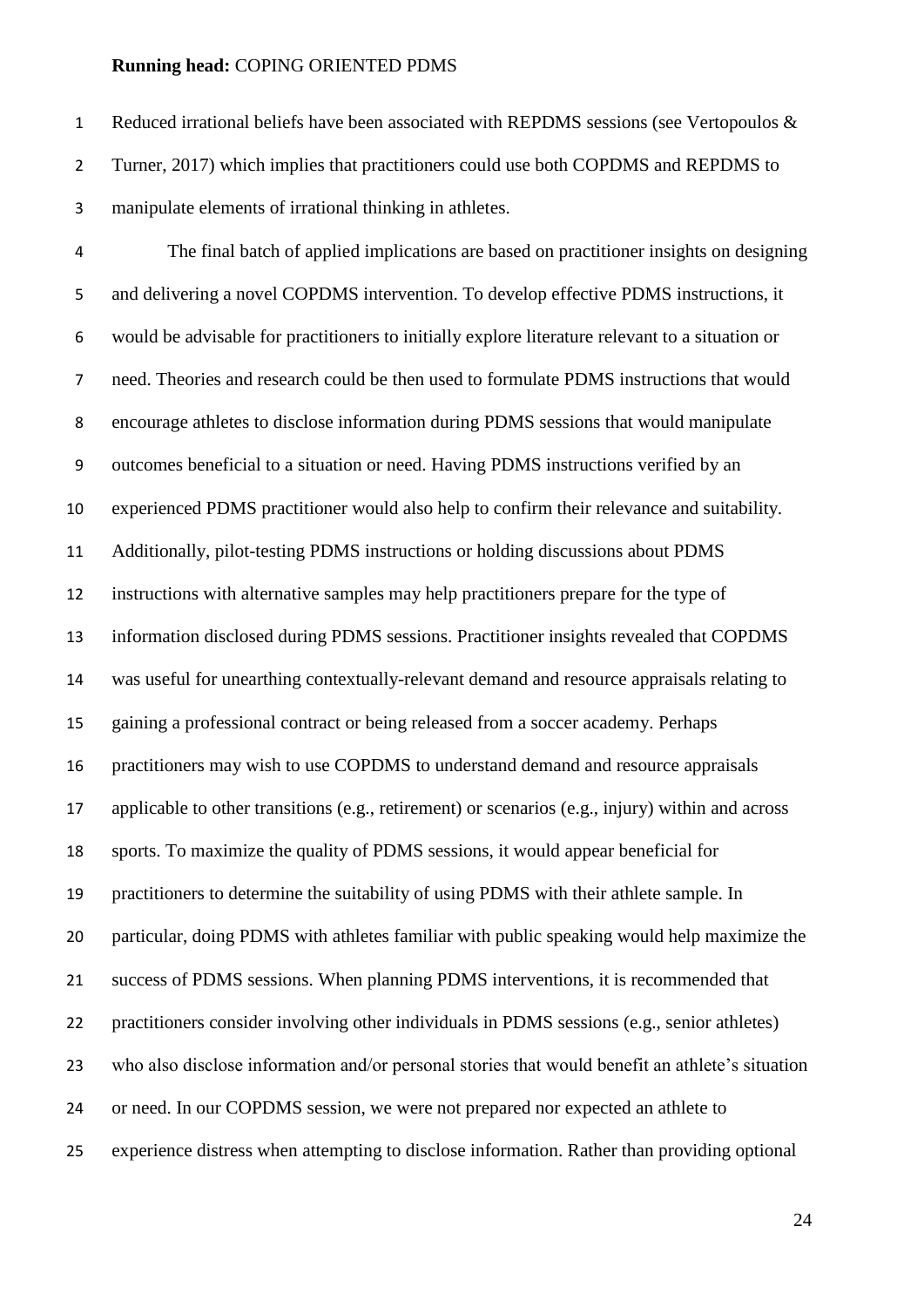Reduced irrational beliefs have been associated with REPDMS sessions (see Vertopoulos & Turner, 2017) which implies that practitioners could use both COPDMS and REPDMS to manipulate elements of irrational thinking in athletes.

 The final batch of applied implications are based on practitioner insights on designing and delivering a novel COPDMS intervention. To develop effective PDMS instructions, it would be advisable for practitioners to initially explore literature relevant to a situation or need. Theories and research could be then used to formulate PDMS instructions that would encourage athletes to disclose information during PDMS sessions that would manipulate outcomes beneficial to a situation or need. Having PDMS instructions verified by an experienced PDMS practitioner would also help to confirm their relevance and suitability. Additionally, pilot-testing PDMS instructions or holding discussions about PDMS instructions with alternative samples may help practitioners prepare for the type of information disclosed during PDMS sessions. Practitioner insights revealed that COPDMS was useful for unearthing contextually-relevant demand and resource appraisals relating to gaining a professional contract or being released from a soccer academy. Perhaps practitioners may wish to use COPDMS to understand demand and resource appraisals applicable to other transitions (e.g., retirement) or scenarios (e.g., injury) within and across sports. To maximize the quality of PDMS sessions, it would appear beneficial for practitioners to determine the suitability of using PDMS with their athlete sample. In particular, doing PDMS with athletes familiar with public speaking would help maximize the success of PDMS sessions. When planning PDMS interventions, it is recommended that practitioners consider involving other individuals in PDMS sessions (e.g., senior athletes) who also disclose information and/or personal stories that would benefit an athlete's situation or need. In our COPDMS session, we were not prepared nor expected an athlete to experience distress when attempting to disclose information. Rather than providing optional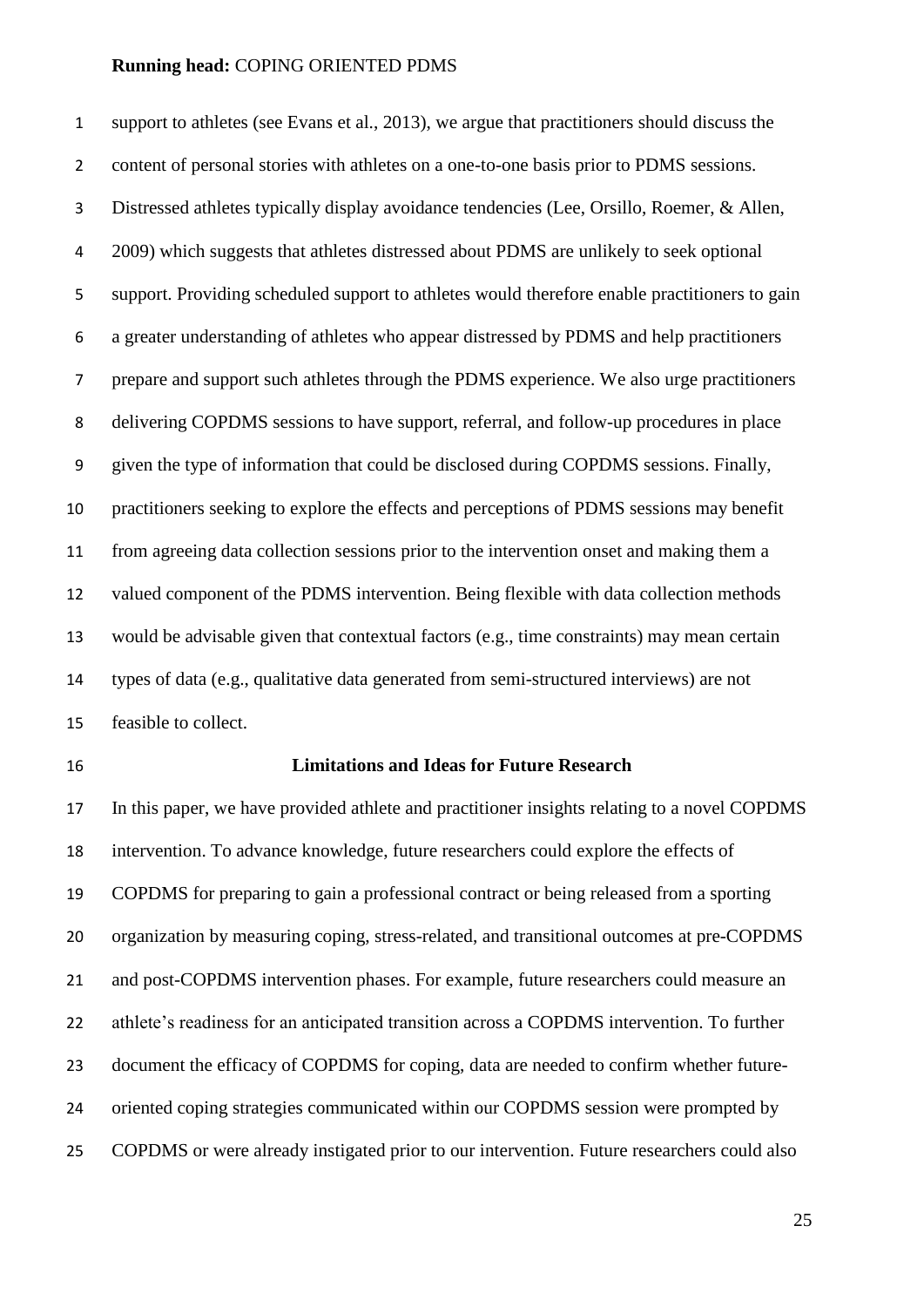support to athletes (see Evans et al., 2013), we argue that practitioners should discuss the content of personal stories with athletes on a one-to-one basis prior to PDMS sessions. Distressed athletes typically display avoidance tendencies (Lee, Orsillo, Roemer, & Allen, 2009) which suggests that athletes distressed about PDMS are unlikely to seek optional support. Providing scheduled support to athletes would therefore enable practitioners to gain a greater understanding of athletes who appear distressed by PDMS and help practitioners prepare and support such athletes through the PDMS experience. We also urge practitioners delivering COPDMS sessions to have support, referral, and follow-up procedures in place given the type of information that could be disclosed during COPDMS sessions. Finally, practitioners seeking to explore the effects and perceptions of PDMS sessions may benefit from agreeing data collection sessions prior to the intervention onset and making them a valued component of the PDMS intervention. Being flexible with data collection methods would be advisable given that contextual factors (e.g., time constraints) may mean certain types of data (e.g., qualitative data generated from semi-structured interviews) are not feasible to collect.

### **Limitations and Ideas for Future Research**

 In this paper, we have provided athlete and practitioner insights relating to a novel COPDMS intervention. To advance knowledge, future researchers could explore the effects of COPDMS for preparing to gain a professional contract or being released from a sporting organization by measuring coping, stress-related, and transitional outcomes at pre-COPDMS 21 and post-COPDMS intervention phases. For example, future researchers could measure an athlete's readiness for an anticipated transition across a COPDMS intervention. To further document the efficacy of COPDMS for coping, data are needed to confirm whether future- oriented coping strategies communicated within our COPDMS session were prompted by COPDMS or were already instigated prior to our intervention. Future researchers could also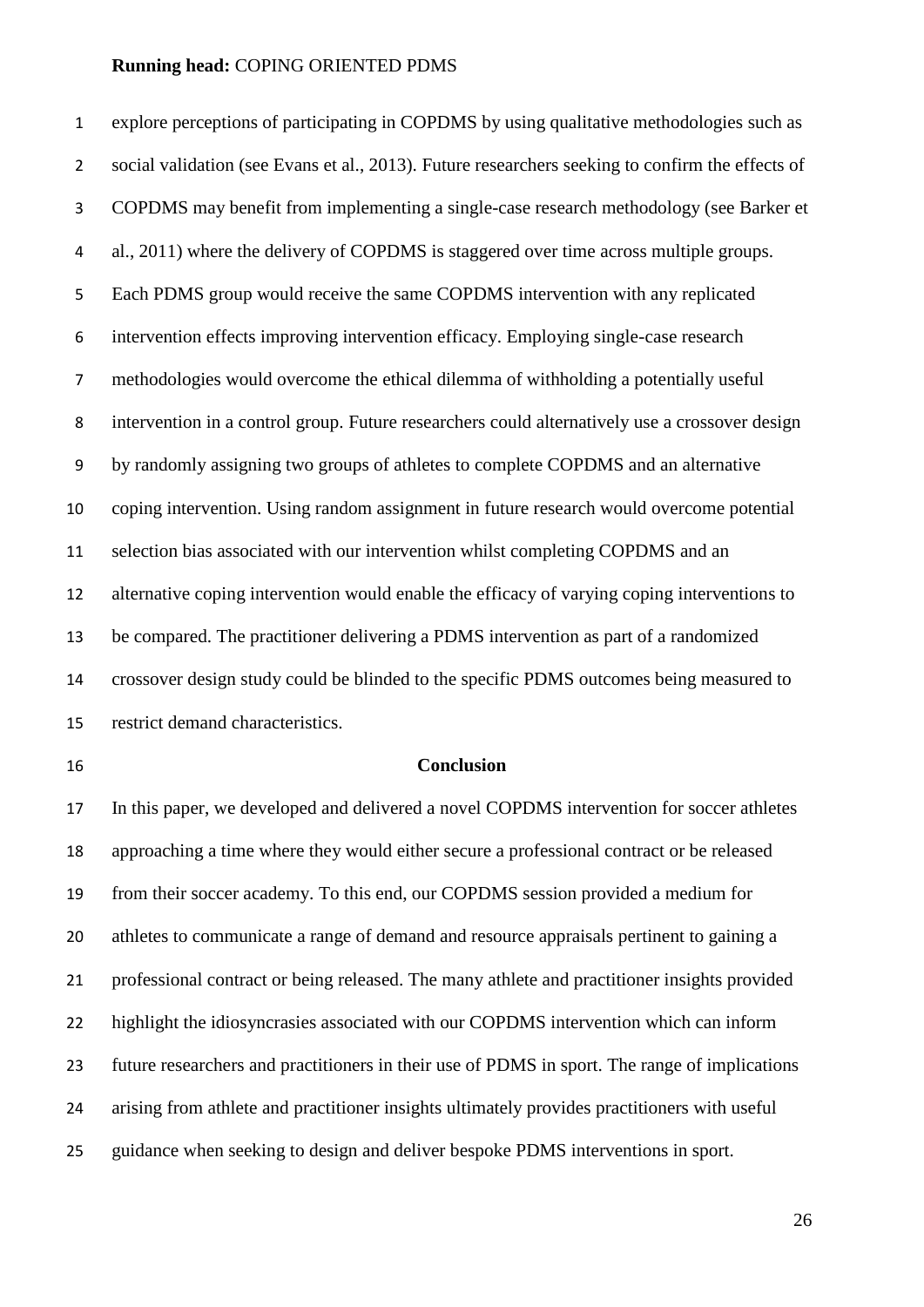explore perceptions of participating in COPDMS by using qualitative methodologies such as 2 social validation (see Evans et al., 2013). Future researchers seeking to confirm the effects of COPDMS may benefit from implementing a single-case research methodology (see Barker et al., 2011) where the delivery of COPDMS is staggered over time across multiple groups. Each PDMS group would receive the same COPDMS intervention with any replicated intervention effects improving intervention efficacy. Employing single-case research methodologies would overcome the ethical dilemma of withholding a potentially useful intervention in a control group. Future researchers could alternatively use a crossover design by randomly assigning two groups of athletes to complete COPDMS and an alternative coping intervention. Using random assignment in future research would overcome potential selection bias associated with our intervention whilst completing COPDMS and an alternative coping intervention would enable the efficacy of varying coping interventions to be compared. The practitioner delivering a PDMS intervention as part of a randomized crossover design study could be blinded to the specific PDMS outcomes being measured to restrict demand characteristics.

### **Conclusion**

 In this paper, we developed and delivered a novel COPDMS intervention for soccer athletes approaching a time where they would either secure a professional contract or be released from their soccer academy. To this end, our COPDMS session provided a medium for athletes to communicate a range of demand and resource appraisals pertinent to gaining a professional contract or being released. The many athlete and practitioner insights provided highlight the idiosyncrasies associated with our COPDMS intervention which can inform future researchers and practitioners in their use of PDMS in sport. The range of implications arising from athlete and practitioner insights ultimately provides practitioners with useful guidance when seeking to design and deliver bespoke PDMS interventions in sport.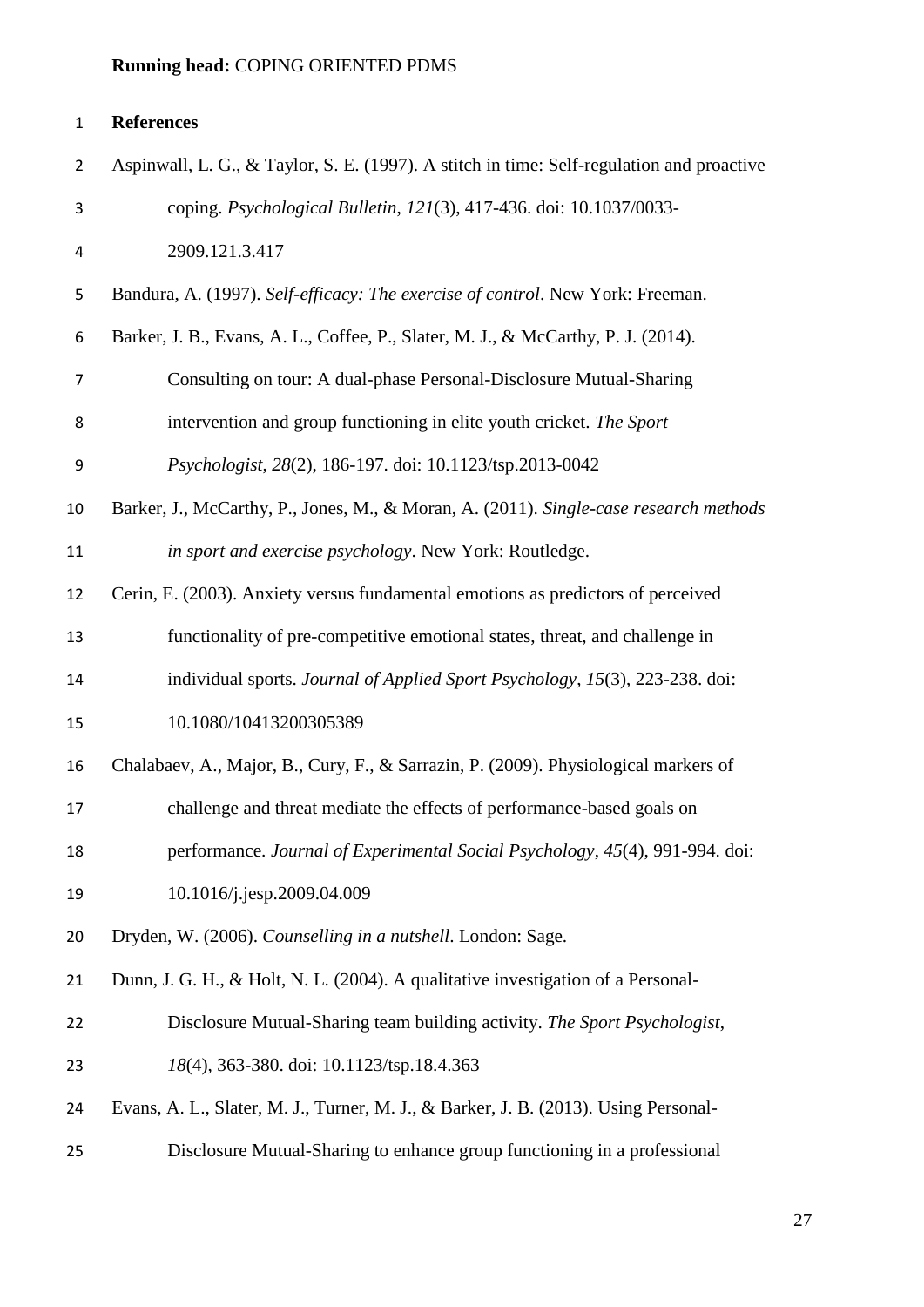| $\mathbf{1}$   | <b>References</b>                                                                         |
|----------------|-------------------------------------------------------------------------------------------|
| $\overline{2}$ | Aspinwall, L. G., & Taylor, S. E. (1997). A stitch in time: Self-regulation and proactive |
| 3              | coping. Psychological Bulletin, 121(3), 417-436. doi: 10.1037/0033-                       |
| 4              | 2909.121.3.417                                                                            |
| 5              | Bandura, A. (1997). Self-efficacy: The exercise of control. New York: Freeman.            |
| 6              | Barker, J. B., Evans, A. L., Coffee, P., Slater, M. J., & McCarthy, P. J. (2014).         |
| $\overline{7}$ | Consulting on tour: A dual-phase Personal-Disclosure Mutual-Sharing                       |
| 8              | intervention and group functioning in elite youth cricket. The Sport                      |
| 9              | Psychologist, 28(2), 186-197. doi: 10.1123/tsp.2013-0042                                  |
| 10             | Barker, J., McCarthy, P., Jones, M., & Moran, A. (2011). Single-case research methods     |
| 11             | in sport and exercise psychology. New York: Routledge.                                    |
| 12             | Cerin, E. (2003). Anxiety versus fundamental emotions as predictors of perceived          |
| 13             | functionality of pre-competitive emotional states, threat, and challenge in               |
| 14             | individual sports. Journal of Applied Sport Psychology, 15(3), 223-238. doi:              |
| 15             | 10.1080/10413200305389                                                                    |
| 16             | Chalabaev, A., Major, B., Cury, F., & Sarrazin, P. (2009). Physiological markers of       |
| 17             | challenge and threat mediate the effects of performance-based goals on                    |
| 18             | performance. Journal of Experimental Social Psychology, 45(4), 991-994. doi:              |
| 19             | 10.1016/j.jesp.2009.04.009                                                                |
| 20             | Dryden, W. (2006). Counselling in a nutshell. London: Sage.                               |
| 21             | Dunn, J. G. H., & Holt, N. L. (2004). A qualitative investigation of a Personal-          |
| 22             | Disclosure Mutual-Sharing team building activity. The Sport Psychologist,                 |
| 23             | 18(4), 363-380. doi: 10.1123/tsp.18.4.363                                                 |
| 24             | Evans, A. L., Slater, M. J., Turner, M. J., & Barker, J. B. (2013). Using Personal-       |
| 25             | Disclosure Mutual-Sharing to enhance group functioning in a professional                  |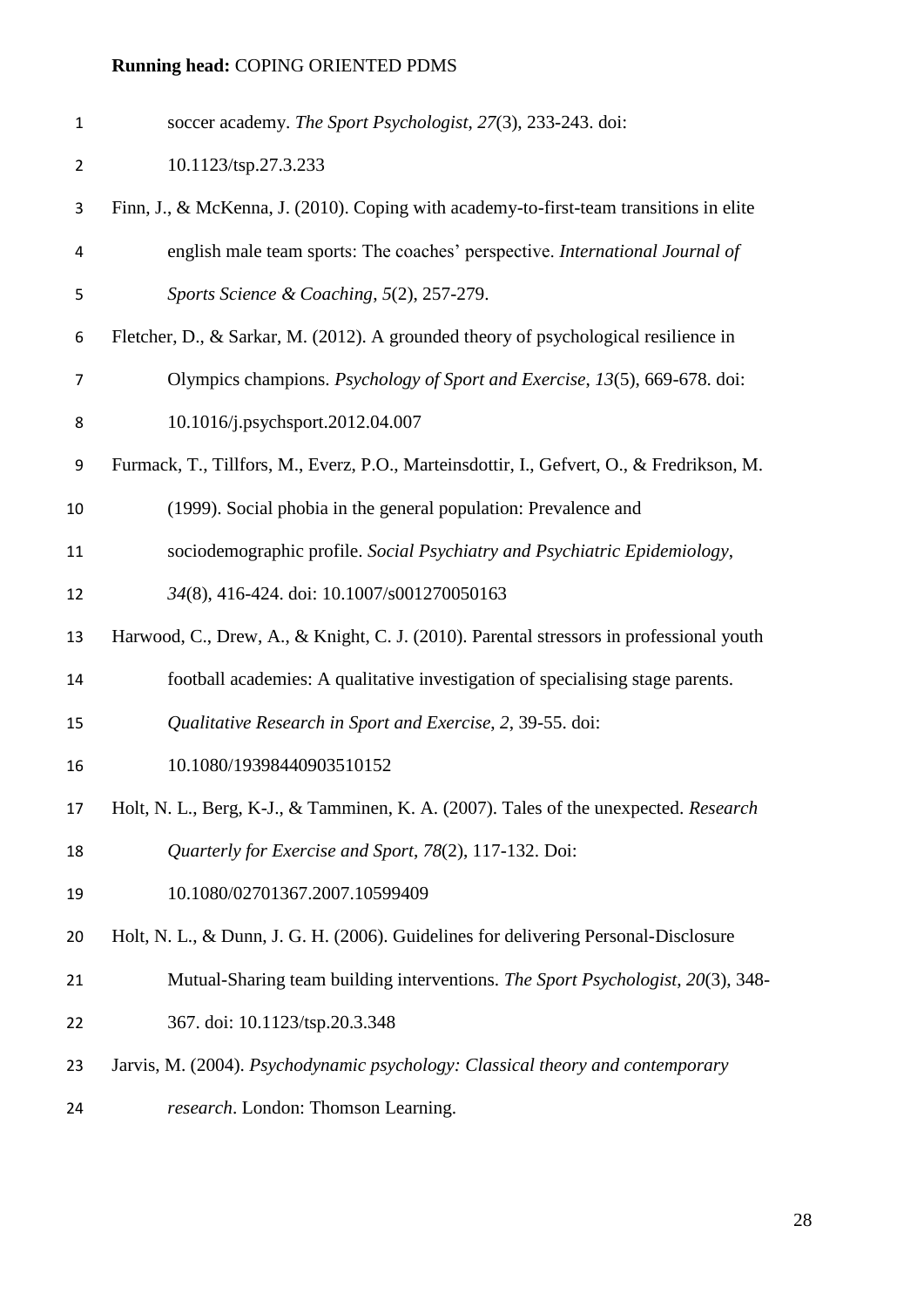| $\mathbf{1}$   | soccer academy. The Sport Psychologist, 27(3), 233-243. doi:                              |
|----------------|-------------------------------------------------------------------------------------------|
| 2              | 10.1123/tsp.27.3.233                                                                      |
| 3              | Finn, J., & McKenna, J. (2010). Coping with academy-to-first-team transitions in elite    |
| 4              | english male team sports: The coaches' perspective. International Journal of              |
| 5              | Sports Science & Coaching, 5(2), 257-279.                                                 |
| 6              | Fletcher, D., & Sarkar, M. (2012). A grounded theory of psychological resilience in       |
| $\overline{7}$ | Olympics champions. Psychology of Sport and Exercise, 13(5), 669-678. doi:                |
| 8              | 10.1016/j.psychsport.2012.04.007                                                          |
| 9              | Furmack, T., Tillfors, M., Everz, P.O., Marteinsdottir, I., Gefvert, O., & Fredrikson, M. |
| 10             | (1999). Social phobia in the general population: Prevalence and                           |
| 11             | sociodemographic profile. Social Psychiatry and Psychiatric Epidemiology,                 |
| 12             | 34(8), 416-424. doi: 10.1007/s001270050163                                                |
| 13             | Harwood, C., Drew, A., & Knight, C. J. (2010). Parental stressors in professional youth   |
| 14             | football academies: A qualitative investigation of specialising stage parents.            |
| 15             | Qualitative Research in Sport and Exercise, 2, 39-55. doi:                                |
| 16             | 10.1080/19398440903510152                                                                 |
| 17             | Holt, N. L., Berg, K-J., & Tamminen, K. A. (2007). Tales of the unexpected. Research      |
| 18             | Quarterly for Exercise and Sport, 78(2), 117-132. Doi:                                    |
| 19             | 10.1080/02701367.2007.10599409                                                            |
| 20             | Holt, N. L., & Dunn, J. G. H. (2006). Guidelines for delivering Personal-Disclosure       |
| 21             | Mutual-Sharing team building interventions. The Sport Psychologist, 20(3), 348-           |
| 22             | 367. doi: 10.1123/tsp.20.3.348                                                            |
| 23             | Jarvis, M. (2004). Psychodynamic psychology: Classical theory and contemporary            |
| 24             | research. London: Thomson Learning.                                                       |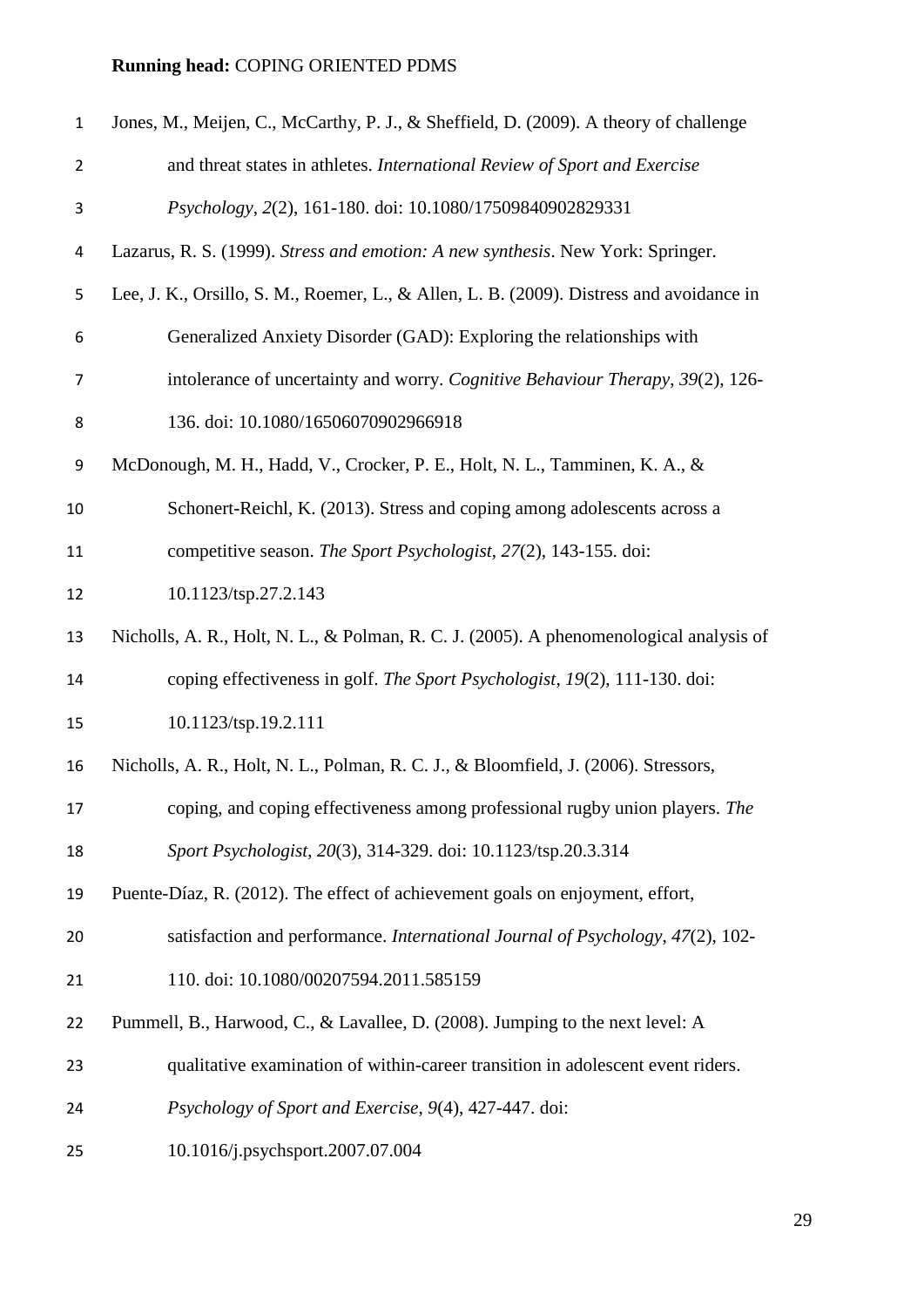| 1  | Jones, M., Meijen, C., McCarthy, P. J., & Sheffield, D. (2009). A theory of challenge    |
|----|------------------------------------------------------------------------------------------|
| 2  | and threat states in athletes. International Review of Sport and Exercise                |
| 3  | Psychology, 2(2), 161-180. doi: 10.1080/17509840902829331                                |
| 4  | Lazarus, R. S. (1999). Stress and emotion: A new synthesis. New York: Springer.          |
| 5  | Lee, J. K., Orsillo, S. M., Roemer, L., & Allen, L. B. (2009). Distress and avoidance in |
| 6  | Generalized Anxiety Disorder (GAD): Exploring the relationships with                     |
| 7  | intolerance of uncertainty and worry. Cognitive Behaviour Therapy, 39(2), 126-           |
| 8  | 136. doi: 10.1080/16506070902966918                                                      |
| 9  | McDonough, M. H., Hadd, V., Crocker, P. E., Holt, N. L., Tamminen, K. A., &              |
| 10 | Schonert-Reichl, K. (2013). Stress and coping among adolescents across a                 |
| 11 | competitive season. The Sport Psychologist, 27(2), 143-155. doi:                         |
| 12 | 10.1123/tsp.27.2.143                                                                     |
| 13 | Nicholls, A. R., Holt, N. L., & Polman, R. C. J. (2005). A phenomenological analysis of  |
| 14 | coping effectiveness in golf. The Sport Psychologist, 19(2), 111-130. doi:               |
| 15 | 10.1123/tsp.19.2.111                                                                     |
| 16 | Nicholls, A. R., Holt, N. L., Polman, R. C. J., & Bloomfield, J. (2006). Stressors,      |
| 17 | coping, and coping effectiveness among professional rugby union players. The             |
| 18 | Sport Psychologist, 20(3), 314-329. doi: 10.1123/tsp.20.3.314                            |
| 19 | Puente-Díaz, R. (2012). The effect of achievement goals on enjoyment, effort,            |
| 20 | satisfaction and performance. International Journal of Psychology, 47(2), 102-           |
| 21 | 110. doi: 10.1080/00207594.2011.585159                                                   |
| 22 | Pummell, B., Harwood, C., & Lavallee, D. (2008). Jumping to the next level: A            |
| 23 | qualitative examination of within-career transition in adolescent event riders.          |
| 24 | Psychology of Sport and Exercise, 9(4), 427-447. doi:                                    |
| 25 | 10.1016/j.psychsport.2007.07.004                                                         |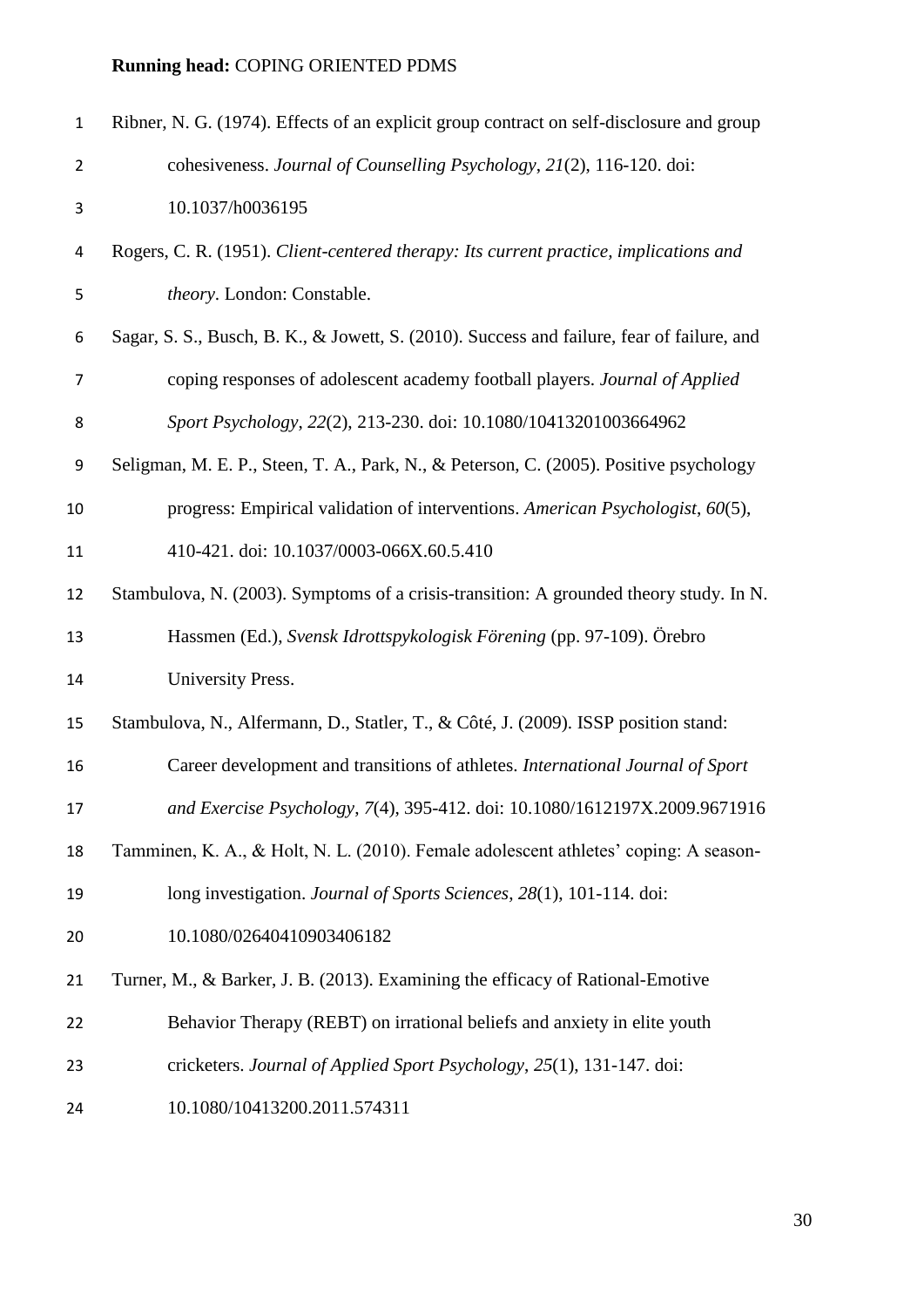| $\mathbf{1}$ | Ribner, N. G. (1974). Effects of an explicit group contract on self-disclosure and group   |
|--------------|--------------------------------------------------------------------------------------------|
| 2            | cohesiveness. Journal of Counselling Psychology, 21(2), 116-120. doi:                      |
| 3            | 10.1037/h0036195                                                                           |
| 4            | Rogers, C. R. (1951). Client-centered therapy: Its current practice, implications and      |
| 5            | theory. London: Constable.                                                                 |
| 6            | Sagar, S. S., Busch, B. K., & Jowett, S. (2010). Success and failure, fear of failure, and |
| 7            | coping responses of adolescent academy football players. Journal of Applied                |
| 8            | Sport Psychology, 22(2), 213-230. doi: 10.1080/10413201003664962                           |
| 9            | Seligman, M. E. P., Steen, T. A., Park, N., & Peterson, C. (2005). Positive psychology     |
| 10           | progress: Empirical validation of interventions. American Psychologist, 60(5),             |
| 11           | 410-421. doi: 10.1037/0003-066X.60.5.410                                                   |
| 12           | Stambulova, N. (2003). Symptoms of a crisis-transition: A grounded theory study. In N.     |
| 13           | Hassmen (Ed.), Svensk Idrottspykologisk Förening (pp. 97-109). Örebro                      |
| 14           | University Press.                                                                          |
| 15           | Stambulova, N., Alfermann, D., Statler, T., & Côté, J. (2009). ISSP position stand:        |
| 16           | Career development and transitions of athletes. International Journal of Sport             |
| 17           | and Exercise Psychology, 7(4), 395-412. doi: 10.1080/1612197X.2009.9671916                 |
| 18           | Tamminen, K. A., & Holt, N. L. (2010). Female adolescent athletes' coping: A season-       |
| 19           | long investigation. Journal of Sports Sciences, 28(1), 101-114. doi:                       |
| 20           | 10.1080/02640410903406182                                                                  |
| 21           | Turner, M., & Barker, J. B. (2013). Examining the efficacy of Rational-Emotive             |
| 22           | Behavior Therapy (REBT) on irrational beliefs and anxiety in elite youth                   |
| 23           | cricketers. Journal of Applied Sport Psychology, 25(1), 131-147. doi:                      |
| 24           | 10.1080/10413200.2011.574311                                                               |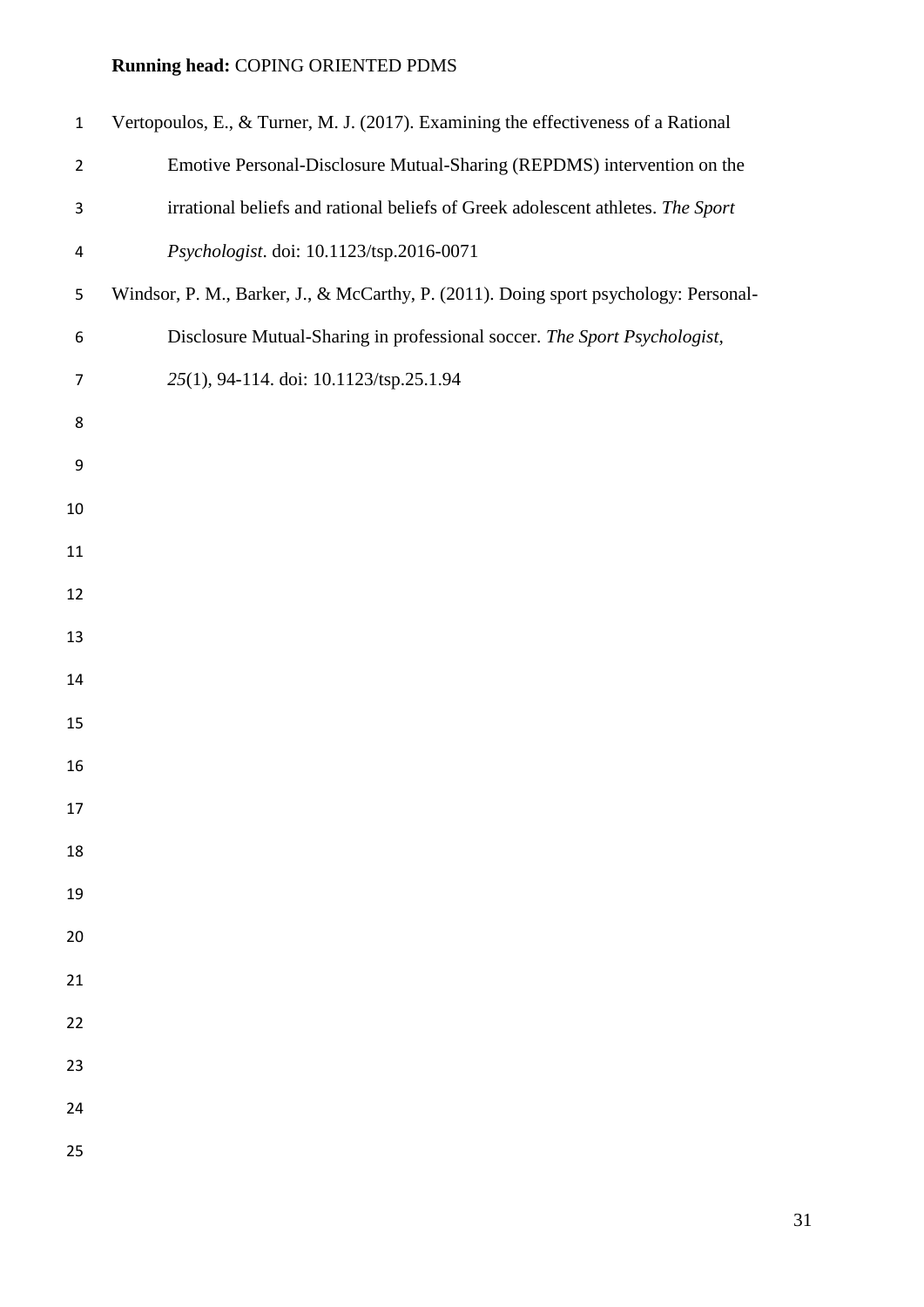| $\mathbf{1}$   | Vertopoulos, E., & Turner, M. J. (2017). Examining the effectiveness of a Rational   |
|----------------|--------------------------------------------------------------------------------------|
| $\overline{2}$ | Emotive Personal-Disclosure Mutual-Sharing (REPDMS) intervention on the              |
| 3              | irrational beliefs and rational beliefs of Greek adolescent athletes. The Sport      |
| 4              | Psychologist. doi: 10.1123/tsp.2016-0071                                             |
| 5              | Windsor, P. M., Barker, J., & McCarthy, P. (2011). Doing sport psychology: Personal- |
| 6              | Disclosure Mutual-Sharing in professional soccer. The Sport Psychologist,            |
| 7              | 25(1), 94-114. doi: 10.1123/tsp.25.1.94                                              |
| 8              |                                                                                      |
| 9              |                                                                                      |
| $10\,$         |                                                                                      |
| 11             |                                                                                      |
| 12             |                                                                                      |
| 13             |                                                                                      |
| 14             |                                                                                      |
| 15             |                                                                                      |
| 16             |                                                                                      |
| 17             |                                                                                      |
| 18             |                                                                                      |
| 19             |                                                                                      |
| 20             |                                                                                      |
| 21             |                                                                                      |
| 22             |                                                                                      |
| 23             |                                                                                      |
| 24             |                                                                                      |
| 25             |                                                                                      |